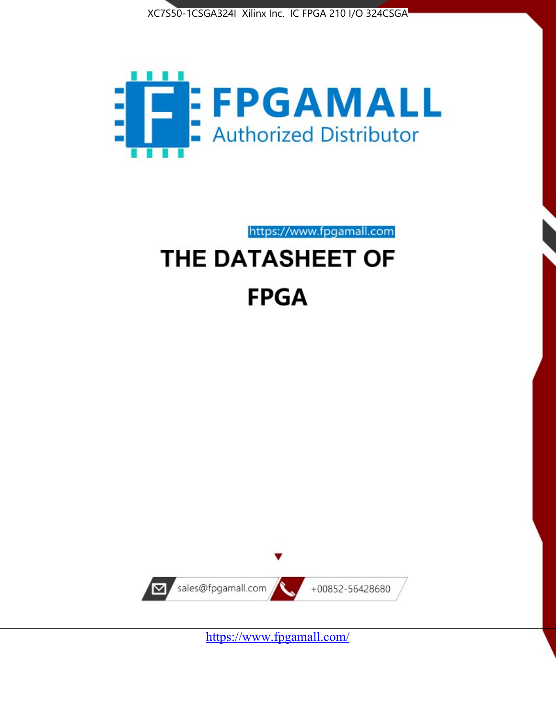



https://www.fpgamall.com

# THE DATASHEET OF **FPGA**



<https://www.fpgamall.com/>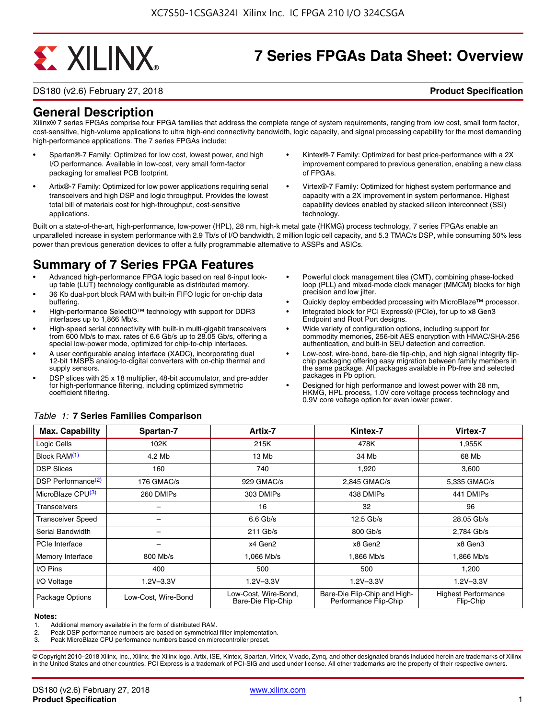# **EXALINX**

## **7 Series FPGAs Data Sheet: Overview**

DS180 (v2.6) February 27, 2018 **Product Specification**

### **General Description**

Xilinx® 7 series FPGAs comprise four FPGA families that address the complete range of system requirements, ranging from low cost, small form factor, cost-sensitive, high-volume applications to ultra high-end connectivity bandwidth, logic capacity, and signal processing capability for the most demanding high-performance applications. The 7 series FPGAs include:

- Spartan®-7 Family: Optimized for low cost, lowest power, and high I/O performance. Available in low-cost, very small form-factor packaging for smallest PCB footprint.
- Artix®-7 Family: Optimized for low power applications requiring serial transceivers and high DSP and logic throughput. Provides the lowest total bill of materials cost for high-throughput, cost-sensitive applications.
- Kintex®-7 Family: Optimized for best price-performance with a 2X improvement compared to previous generation, enabling a new class of FPGAs.
- Virtex®-7 Family: Optimized for highest system performance and capacity with a 2X improvement in system performance. Highest capability devices enabled by stacked silicon interconnect (SSI) technology

Built on a state-of-the-art, high-performance, low-power (HPL), 28 nm, high-k metal gate (HKMG) process technology, 7 series FPGAs enable an unparalleled increase in system performance with 2.9 Tb/s of I/O bandwidth, 2 million logic cell capacity, and 5.3 TMAC/s DSP, while consuming 50% less power than previous generation devices to offer a fully programmable alternative to ASSPs and ASICs.

### **Summary of 7 Series FPGA Features**

- Advanced high-performance FPGA logic based on real 6-input lookup table (LUT) technology configurable as distributed memory.
- 36 Kb dual-port block RAM with built-in FIFO logic for on-chip data buffering.
- High-performance SelectIO™ technology with support for DDR3 interfaces up to 1,866 Mb/s.
- High-speed serial connectivity with built-in multi-gigabit transceivers from 600 Mb/s to max. rates of 6.6 Gb/s up to 28.05 Gb/s, offering a special low-power mode, optimized for chip-to-chip interfaces.
- A user configurable analog interface (XADC), incorporating dual 12-bit 1MSPS analog-to-digital converters with on-chip thermal and supply sensors.
- DSP slices with 25 x 18 multiplier, 48-bit accumulator, and pre-adder for high-performance filtering, including optimized symmetric coefficient filtering.
- Powerful clock management tiles (CMT), combining phase-locked loop (PLL) and mixed-mode clock manager (MMCM) blocks for high precision and low jitter.
- Quickly deploy embedded processing with MicroBlaze™ processor.
- Integrated block for PCI Express® (PCIe), for up to x8 Gen3 Endpoint and Root Port designs.
- Wide variety of configuration options, including support for commodity memories, 256-bit AES encryption with HMAC/SHA-256 authentication, and built-in SEU detection and correction.
- Low-cost, wire-bond, bare-die flip-chip, and high signal integrity flipchip packaging offering easy migration between family members in the same package. All packages available in Pb-free and selected packages in Pb option.
- Designed for high performance and lowest power with 28 nm, HKMG, HPL process, 1.0V core voltage process technology and 0.9V core voltage option for even lower power.

| <b>Max. Capability</b>         | Spartan-7           | Artix-7                                    | Kintex-7                                              | Virtex-7                                |
|--------------------------------|---------------------|--------------------------------------------|-------------------------------------------------------|-----------------------------------------|
| Logic Cells                    | 102K                | 215K                                       | 478K                                                  | 1,955K                                  |
| Block RAM <sup>(1)</sup>       | 4.2 Mb              | 13 Mb                                      | 34 Mb                                                 | 68 Mb                                   |
| <b>DSP Slices</b>              | 160                 | 740                                        | 1,920                                                 | 3,600                                   |
| DSP Performance <sup>(2)</sup> | 176 GMAC/s          | 929 GMAC/s                                 | 2,845 GMAC/s                                          | 5,335 GMAC/s                            |
| MicroBlaze CPU <sup>(3)</sup>  | 260 DMIPs           | 303 DMIPs                                  | 438 DMIPs                                             | 441 DMIPs                               |
| Transceivers                   |                     | 16                                         | 32                                                    | 96                                      |
| <b>Transceiver Speed</b>       |                     | $6.6$ Gb/s                                 | $12.5$ Gb/s                                           | 28.05 Gb/s                              |
| Serial Bandwidth               |                     | $211$ Gb/s                                 | 800 Gb/s                                              | 2,784 Gb/s                              |
| <b>PCIe Interface</b>          | -                   | x4 Gen2                                    | x8 Gen2                                               | x8 Gen3                                 |
| Memory Interface               | 800 Mb/s            | 1.066 Mb/s                                 | 1.866 Mb/s                                            | 1.866 Mb/s                              |
| I/O Pins                       | 400                 | 500                                        | 500                                                   | 1,200                                   |
| I/O Voltage                    | $1.2V - 3.3V$       | $1.2V - 3.3V$                              | $1.2V - 3.3V$                                         | $1.2V - 3.3V$                           |
| Package Options                | Low-Cost. Wire-Bond | Low-Cost, Wire-Bond,<br>Bare-Die Flip-Chip | Bare-Die Flip-Chip and High-<br>Performance Flip-Chip | <b>Highest Performance</b><br>Flip-Chip |

#### *Table 1:* **7 Series Families Comparison**

#### **Notes:**

1. Additional memory available in the form of distributed RAM.

2. Peak DSP performance numbers are based on symmetrical filter implementation.<br>3. Peak MicroBlaze CPU performance numbers based on microcontroller preset.

Peak MicroBlaze CPU performance numbers based on microcontroller preset.

© Copyright 2010–2018 Xilinx, Inc., Xilinx, the Xilinx logo, Artix, ISE, Kintex, Spartan, Virtex, Vivado, Zynq, and other designated brands included herein are trademarks of Xilinx in the United States and other countries. PCI Express is a trademark of PCI-SIG and used under license. All other trademarks are the property of their respective owners.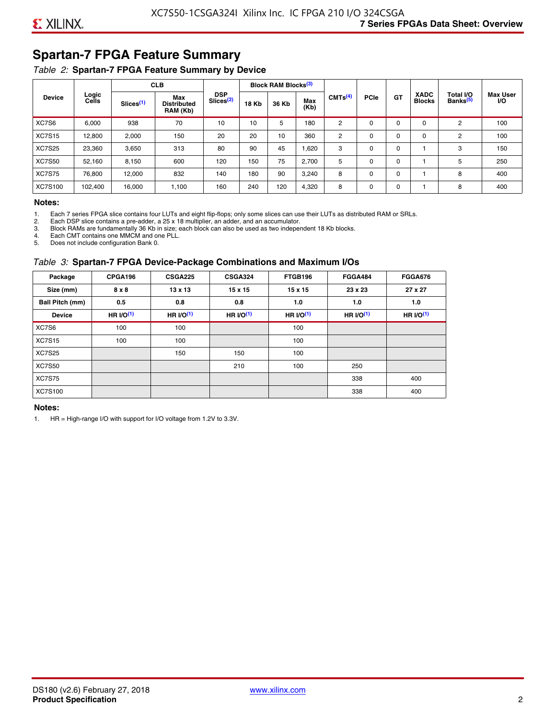### **Spartan-7 FPGA Feature Summary**

#### *Table 2:* **Spartan-7 FPGA Feature Summary by Device**

|               |                |                       | <b>CLB</b>                            |                                     |              | <b>Block RAM Blocks</b> <sup>(3)</sup> |             |                                 |             |             |                              |                                   |                              |
|---------------|----------------|-----------------------|---------------------------------------|-------------------------------------|--------------|----------------------------------------|-------------|---------------------------------|-------------|-------------|------------------------------|-----------------------------------|------------------------------|
| <b>Device</b> | Logic<br>Cells | Slices <sup>(1)</sup> | Max<br><b>Distributed</b><br>RAM (Kb) | <b>DSP</b><br>Slices <sup>(2)</sup> | <b>18 Kb</b> | 36 Kb                                  | Max<br>(Kb) | CMTS <sup>(4)</sup><br>180<br>2 | <b>PCle</b> | <b>GT</b>   | <b>XADC</b><br><b>Blocks</b> | Total I/O<br>Banks <sup>(5)</sup> | <b>Max User</b><br><b>VO</b> |
| XC7S6         | 6,000          | 938                   | 70                                    | 10                                  | 10           | 5                                      |             |                                 | $\Omega$    | 0           | 0                            | 2                                 | 100                          |
| <b>XC7S15</b> | 12,800         | 2,000                 | 150                                   | 20                                  | 20           | 10                                     | 360         | 2                               | $\Omega$    | $\mathbf 0$ | 0                            | 2                                 | 100                          |
| <b>XC7S25</b> | 23,360         | 3,650                 | 313                                   | 80                                  | 90           | 45                                     | 1,620       | 3                               | 0           | 0           |                              | 3                                 | 150                          |
| <b>XC7S50</b> | 52,160         | 8,150                 | 600                                   | 120                                 | 150          | 75                                     | 2,700       | 5                               | $\Omega$    | 0           |                              | 5                                 | 250                          |
| <b>XC7S75</b> | 76,800         | 12,000                | 832                                   | 140                                 | 180          | 90                                     | 3,240       | 8                               | 0           | 0           |                              | 8                                 | 400                          |
| XC7S100       | 102,400        | 16.000                | 1,100                                 | 160                                 | 240          | 120                                    | 4,320       | 8                               | 0           | 0           |                              | 8                                 | 400                          |

#### **Notes:**

1. Each 7 series FPGA slice contains four LUTs and eight flip-flops; only some slices can use their LUTs as distributed RAM or SRLs.<br>2. Each DSP slice contains a pre-adder. a 25 x 18 multiplier. an adder. and an accumulato

2. Each DSP slice contains a pre-adder, a 25 x 18 multiplier, an adder, and an accumulator. 3. Block RAMs are fundamentally 36 Kb in size; each block can also be used as two independent 18 Kb blocks.

4. Each CMT contains one MMCM and one PLL.

5. Does not include configuration Bank 0.

#### *Table 3:* **Spartan-7 FPGA Device-Package Combinations and Maximum I/Os**

| Package         | CPGA196      | <b>CSGA225</b> | <b>CSGA324</b> | FTGB196    | <b>FGGA484</b> | <b>FGGA676</b> |
|-----------------|--------------|----------------|----------------|------------|----------------|----------------|
| Size (mm)       | $8 \times 8$ | $13 \times 13$ | $15 \times 15$ | 15 x 15    | 23 x 23        | 27 x 27        |
| Ball Pitch (mm) | 0.5          | 0.8            | 0.8            | 1.0        | 1.0            | 1.0            |
| <b>Device</b>   | HR $UO(1)$   | HR $UO(1)$     | HR $UO(1)$     | HR $l$ (1) | HR $UO(1)$     | HR $UO(1)$     |
| XC7S6           | 100          | 100            |                | 100        |                |                |
| <b>XC7S15</b>   | 100          | 100            |                | 100        |                |                |
| <b>XC7S25</b>   |              | 150            | 150            | 100        |                |                |
| <b>XC7S50</b>   |              |                | 210            | 100        | 250            |                |
| <b>XC7S75</b>   |              |                |                |            | 338            | 400            |
| <b>XC7S100</b>  |              |                |                |            | 338            | 400            |

#### **Notes:**

1. HR = High-range I/O with support for I/O voltage from 1.2V to 3.3V.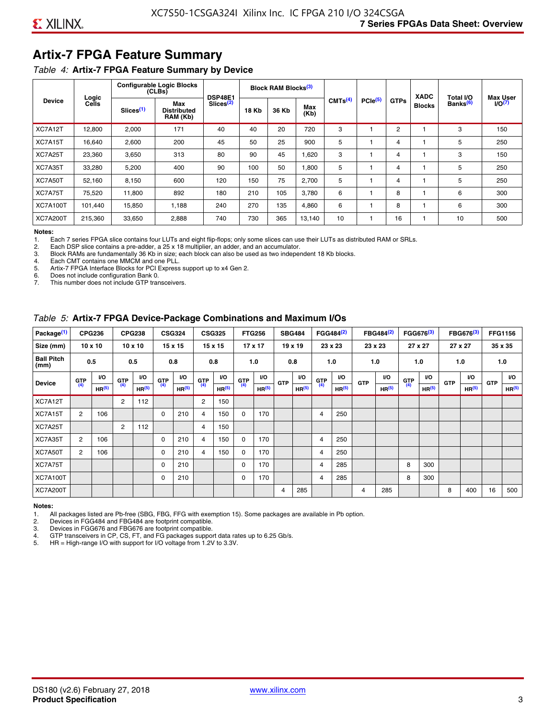### **Artix-7 FPGA Feature Summary**

#### *Table 4:* **Artix-7 FPGA Feature Summary by Device**

|                 |                |                       | <b>Configurable Logic Blocks</b><br>(CLBs) | <b>DSP48E1</b>        |              | Block RAM Blocks <sup>(3)</sup> |             |                     |                     |             | <b>XADC</b>   | Total I/O            | <b>Max User</b>    |
|-----------------|----------------|-----------------------|--------------------------------------------|-----------------------|--------------|---------------------------------|-------------|---------------------|---------------------|-------------|---------------|----------------------|--------------------|
| <b>Device</b>   | Logic<br>Cells | Slices <sup>(1)</sup> | Max<br><b>Distributed</b><br>RAM (Kb)      | Slices <sup>(2)</sup> | <b>18 Kb</b> | 36 Kb                           | Max<br>(Kb) | CMTS <sup>(4)</sup> | PCle <sup>(5)</sup> | <b>GTPs</b> | <b>Blocks</b> | Banks <sup>(6)</sup> | I/O <sub>(7)</sub> |
| XC7A12T         | 12,800         | 2,000                 | 171                                        | 40                    | 40           | 20                              | 720         | 3                   |                     | 2           |               | 3                    | 150                |
| XC7A15T         | 16,640         | 2,600                 | 200                                        | 45                    | 50           | 25                              | 900         | 5                   |                     | 4           |               | 5                    | 250                |
| XC7A25T         | 23,360         | 3,650                 | 313                                        | 80                    | 90           | 45                              | 1,620       | 3                   |                     | 4           |               | 3                    | 150                |
| XC7A35T         | 33,280         | 5,200                 | 400                                        | 90                    | 100          | 50                              | 1,800       | 5                   |                     | 4           |               | 5                    | 250                |
| XC7A50T         | 52,160         | 8,150                 | 600                                        | 120                   | 150          | 75                              | 2.700       | 5                   |                     | 4           |               | 5                    | 250                |
| XC7A75T         | 75,520         | 11,800                | 892                                        | 180                   | 210          | 105                             | 3,780       | 6                   |                     | 8           |               | 6                    | 300                |
| <b>XC7A100T</b> | 101.440        | 15,850                | 1.188                                      | 240                   | 270          | 135                             | 4,860       | 6                   |                     | 8           |               | 6                    | 300                |
| <b>XC7A200T</b> | 215,360        | 33,650                | 2,888                                      | 740                   | 730          | 365                             | 13,140      | 10                  |                     | 16          |               | 10                   | 500                |

**Notes:**  Each 7 series FPGA slice contains four LUTs and eight flip-flops; only some slices can use their LUTs as distributed RAM or SRLs.

2. Each DSP slice contains a pre-adder, a 25 x 18 multiplier, an adder, and an accumulator.

3. Block RAMs are fundamentally 36 Kb in size; each block can also be used as two independent 18 Kb blocks.

4. Each CMT contains one MMCM and one PLL.<br>5. Artix-7 FPGA Interface Blocks for PCI Express

5. Artix-7 FPGA Interface Blocks for PCI Express support up to x4 Gen 2.<br>6. Does not include configuration Bank 0.

6. Does not include configuration Bank 0.

This number does not include GTP transceivers.

#### *Table 5:* **Artix-7 FPGA Device-Package Combinations and Maximum I/Os**

| Package <sup>(1)</sup>    |            | <b>CPG236</b>     |                | <b>CPG238</b>  |            | <b>CSG324</b> |                | <b>CSG325</b>     |       | <b>FTG256</b>     |            | <b>SBG484</b>     |                | FGG484 <sup>(2)</sup> |                | FBG484 <sup>(2)</sup> |       | FGG676 <sup>(3)</sup> |            | FBG676 <sup>(3)</sup> |            | <b>FFG1156</b> |
|---------------------------|------------|-------------------|----------------|----------------|------------|---------------|----------------|-------------------|-------|-------------------|------------|-------------------|----------------|-----------------------|----------------|-----------------------|-------|-----------------------|------------|-----------------------|------------|----------------|
| Size (mm)                 |            | $10 \times 10$    |                | $10 \times 10$ |            | 15 x 15       |                | 15 x 15           |       | $17 \times 17$    |            | $19 \times 19$    |                | 23 x 23               |                | 23 x 23               |       | 27 x 27               |            | 27 x 27               |            | 35 x 35        |
| <b>Ball Pitch</b><br>(mm) |            | 0.5               |                | 0.5            |            | 0.8           | 0.8            |                   |       | 1.0               |            | 0.8               |                | 1.0                   |                | 1.0                   |       | 1.0                   |            | 1.0                   |            | 1.0            |
| <b>Device</b>             | <b>GTP</b> | <b>VO</b>         | <b>GTP</b>     | <b>VO</b>      | <b>GTP</b> | <b>VO</b>     | <b>GTP</b>     | <b>VO</b>         | G(TP) | VO.               | <b>GTP</b> | VO.               | G(TP)          | <b>VO</b>             | <b>GTP</b>     | <b>VO</b>             | G(TP) | <b>VO</b>             | <b>GTP</b> | <b>VO</b>             | <b>GTP</b> | <b>VO</b>      |
|                           | (4)        | HR <sup>(5)</sup> | (4)            | HR(5)          | (4)        | HP(5)         | (4)            | HR <sup>(5)</sup> |       | HR <sup>(5)</sup> |            | HR <sup>(5)</sup> |                | HR <sup>(5)</sup>     |                | HR <sup>(5)</sup>     |       | HR <sup>(5)</sup>     |            | HR <sup>(5)</sup>     |            | HR(5)          |
| XC7A12T                   |            |                   | $\overline{2}$ | 112            |            |               | $\overline{2}$ | 150               |       |                   |            |                   |                |                       |                |                       |       |                       |            |                       |            |                |
| XC7A15T                   | 2          | 106               |                |                | 0          | 210           | 4              | 150               | 0     | 170               |            |                   | $\overline{4}$ | 250                   |                |                       |       |                       |            |                       |            |                |
| XC7A25T                   |            |                   | 2              | 112            |            |               | 4              | 150               |       |                   |            |                   |                |                       |                |                       |       |                       |            |                       |            |                |
| XC7A35T                   | 2          | 106               |                |                | 0          | 210           | 4              | 150               | 0     | 170               |            |                   | 4              | 250                   |                |                       |       |                       |            |                       |            |                |
| XC7A50T                   | 2          | 106               |                |                | 0          | 210           | 4              | 150               | 0     | 170               |            |                   | 4              | 250                   |                |                       |       |                       |            |                       |            |                |
| XC7A75T                   |            |                   |                |                | 0          | 210           |                |                   | 0     | 170               |            |                   | 4              | 285                   |                |                       | 8     | 300                   |            |                       |            |                |
| <b>XC7A100T</b>           |            |                   |                |                | 0          | 210           |                |                   | 0     | 170               |            |                   | $\overline{4}$ | 285                   |                |                       | 8     | 300                   |            |                       |            |                |
| <b>XC7A200T</b>           |            |                   |                |                |            |               |                |                   |       |                   | 4          | 285               |                |                       | $\overline{4}$ | 285                   |       |                       | 8          | 400                   | 16         | 500            |

#### **Notes:**

1. All packages listed are Pb-free (SBG, FBG, FFG with exemption 15). Some packages are available in Pb option.

2. Devices in FGG484 and FBG484 are footprint compatible.

3. Devices in FGG676 and FBG676 are footprint compatible.

4. GTP transceivers in CP, CS, FT, and FG packages support data rates up to 6.25 Gb/s.<br>5. HR = High-range I/O with support for I/O voltage from 1.2V to 3.3V.

HR = High-range I/O with support for I/O voltage from 1.2V to 3.3V.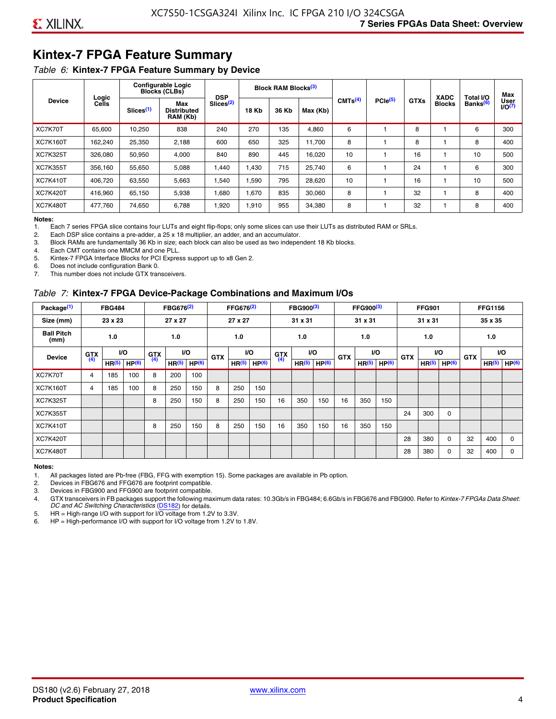### **Kintex-7 FPGA Feature Summary**

#### *Table 6:* **Kintex-7 FPGA Feature Summary by Device**

|                 |                |                       | <b>Configurable Logic</b><br><b>Blocks (CLBs)</b> | <b>DSP</b>            |              | <b>Block RAM Blocks</b> <sup>(3)</sup> |        |                     |              |             | <b>XADC</b>   | Total I/O            | Max               |
|-----------------|----------------|-----------------------|---------------------------------------------------|-----------------------|--------------|----------------------------------------|--------|---------------------|--------------|-------------|---------------|----------------------|-------------------|
| <b>Device</b>   | Logic<br>Cells | Slices <sup>(1)</sup> | Max<br><b>Distributed</b><br>RAM (Kb)             | Slices <sup>(2)</sup> | <b>18 Kb</b> | 36 Kb<br>Max (Kb)<br>135<br>6          |        | CMTS <sup>(4)</sup> | $PCle^{(5)}$ | <b>GTXs</b> | <b>Blocks</b> | Banks <sup>(6)</sup> | User<br>$1/0^{7}$ |
| XC7K70T         | 65.600         | 10,250                | 838                                               | 240                   | 270          |                                        | 4,860  |                     |              | 8           |               | 6                    | 300               |
| <b>XC7K160T</b> | 162,240        | 25,350                | 2,188                                             | 600                   | 650          | 325                                    | 11.700 | 8                   |              | 8           |               | 8                    | 400               |
| <b>XC7K325T</b> | 326,080        | 50,950                | 4,000                                             | 840                   | 890          | 445                                    | 16,020 | 10                  |              | 16          |               | 10                   | 500               |
| <b>XC7K355T</b> | 356.160        | 55,650                | 5,088                                             | 1,440                 | 1.430        | 715                                    | 25,740 | 6                   |              | 24          |               | 6                    | 300               |
| <b>XC7K410T</b> | 406.720        | 63,550                | 5,663                                             | 1,540                 | 1,590        | 795                                    | 28,620 | 10                  |              | 16          |               | 10                   | 500               |
| <b>XC7K420T</b> | 416.960        | 65.150                | 5,938                                             | 1,680                 | 1.670        | 835                                    | 30,060 | 8                   |              | 32          |               | 8                    | 400               |
| <b>XC7K480T</b> | 477.760        | 74,650                | 6,788                                             | 1,920                 | 1,910        | 955                                    | 34,380 | 8                   |              | 32          |               | 8                    | 400               |

#### **Notes:**

1. Each 7 series FPGA slice contains four LUTs and eight flip-flops; only some slices can use their LUTs as distributed RAM or SRLs.<br>2. Each DSP slice contains a pre-adder, a 25 x 18 multiplier, an adder, and an accumulato

Each DSP slice contains a pre-adder, a 25 x 18 multiplier, an adder, and an accumulator.

3. Block RAMs are fundamentally 36 Kb in size; each block can also be used as two independent 18 Kb blocks.

4. Each CMT contains one MMCM and one PLL.

5. Kintex-7 FPGA Interface Blocks for PCI Express support up to x8 Gen 2.

6. Does not include configuration Bank 0.

7. This number does not include GTX transceivers.

#### *Table 7:* **Kintex-7 FPGA Device-Package Combinations and Maximum I/Os**

| Package <sup>(1)</sup>    |            | <b>FBG484</b>     |                   |            | FBG676 <sup>(2)</sup> |                   |            | FFG676 <sup>(2)</sup> |                   |            | FBG900 <sup>(3)</sup> |                   |            | FFG900 <sup>(3)</sup> |                   |            | <b>FFG901</b>     |                   |            | <b>FFG1156</b>    |                   |
|---------------------------|------------|-------------------|-------------------|------------|-----------------------|-------------------|------------|-----------------------|-------------------|------------|-----------------------|-------------------|------------|-----------------------|-------------------|------------|-------------------|-------------------|------------|-------------------|-------------------|
| Size (mm)                 |            | 23 x 23           |                   |            | 27 x 27               |                   |            | 27 x 27               |                   |            | 31 x 31               |                   |            | 31 x 31               |                   |            | 31 x 31           |                   |            | 35 x 35           |                   |
| <b>Ball Pitch</b><br>(mm) |            | 1.0               |                   |            | 1.0                   |                   |            | 1.0                   |                   |            | 1.0                   |                   |            | 1.0                   |                   |            | 1.0               |                   |            | 1.0               |                   |
| <b>Device</b>             | <b>GTX</b> |                   | VO.               | <b>GTX</b> | <b>VO</b>             |                   | <b>GTX</b> |                       | <b>VO</b>         | <b>GTX</b> |                       | <b>VO</b>         | <b>GTX</b> | <b>VO</b>             |                   | <b>GTX</b> |                   | VO                | <b>GTX</b> | <b>VO</b>         |                   |
|                           | (4)        | HR <sup>(5)</sup> | HP <sup>(6)</sup> | (4)        | HR <sup>(5)</sup>     | HP <sup>(6)</sup> |            | HR <sup>(5)</sup>     | HP <sup>(6)</sup> | (4)        | HR <sup>(5)</sup>     | HP <sup>(6)</sup> |            | HR <sup>(5)</sup>     | HP <sup>(6)</sup> |            | HR <sup>(5)</sup> | HP <sup>(6)</sup> |            | HR <sup>(5)</sup> | HP <sup>(6)</sup> |
| XC7K70T                   | 4          | 185               | 100               | 8          | 200                   | 100               |            |                       |                   |            |                       |                   |            |                       |                   |            |                   |                   |            |                   |                   |
| <b>XC7K160T</b>           | 4          | 185               | 100               | 8          | 250                   | 150               | 8          | 250                   | 150               |            |                       |                   |            |                       |                   |            |                   |                   |            |                   |                   |
| <b>XC7K325T</b>           |            |                   |                   | 8          | 250                   | 150               | 8          | 250                   | 150               | 16         | 350                   | 150               | 16         | 350                   | 150               |            |                   |                   |            |                   |                   |
| <b>XC7K355T</b>           |            |                   |                   |            |                       |                   |            |                       |                   |            |                       |                   |            |                       |                   | 24         | 300               | 0                 |            |                   |                   |
| <b>XC7K410T</b>           |            |                   |                   | 8          | 250                   | 150               | 8          | 250                   | 150               | 16         | 350                   | 150               | 16         | 350                   | 150               |            |                   |                   |            |                   |                   |
| <b>XC7K420T</b>           |            |                   |                   |            |                       |                   |            |                       |                   |            |                       |                   |            |                       |                   | 28         | 380               | $\Omega$          | 32         | 400               | $\Omega$          |
| <b>XC7K480T</b>           |            |                   |                   |            |                       |                   |            |                       |                   |            |                       |                   |            |                       |                   | 28         | 380               | 0                 | 32         | 400               | $\Omega$          |

#### **Notes:**

1. All packages listed are Pb-free (FBG, FFG with exemption 15). Some packages are available in Pb option.

2. Devices in FBG676 and FFG676 are footprint compatible.

3. Devices in FBG900 and FFG900 are footprint compatible. 4. GTX transceivers in FB packages support the following maximum data rates: 10.3Gb/s in FBG484; 6.6Gb/s in FBG676 and FBG900. Refer to *Kintex-7 FPGAs Data Sheet: DC and AC Switching Characteristics* [\(DS182](https://www.xilinx.com/support/documentation/data_sheets/ds182_Kintex_7_Data_Sheet.pdf)) for details.

5. HR = High-range I/O with support for I/O voltage from 1.2V to 3.3V.

6. HP = High-performance I/O with support for I/O voltage from 1.2V to 1.8V.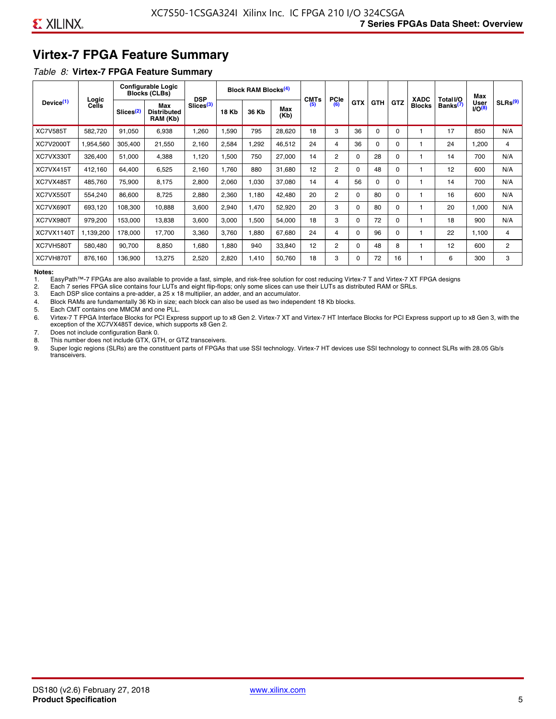### **Virtex-7 FPGA Feature Summary**

#### *Table 8:* **Virtex-7 FPGA Feature Summary**

|                       |                |                       | <b>Configurable Logic</b><br><b>Blocks (CLBs)</b> | <b>DSP</b>            |       | <b>Block RAM Blocks<sup>(4)</sup></b> |             | <b>CMTs</b> | <b>PCIe</b>    |            |            |            | <b>XADC</b>   | Total I/O            | Max                 |                     |
|-----------------------|----------------|-----------------------|---------------------------------------------------|-----------------------|-------|---------------------------------------|-------------|-------------|----------------|------------|------------|------------|---------------|----------------------|---------------------|---------------------|
| Device <sup>(1)</sup> | Logic<br>Cells | Slices <sup>(2)</sup> | Max<br><b>Distributed</b><br>RAM (Kb)             | Slices <sup>(3)</sup> | 18 Kb | 36 Kb                                 | Max<br>(Kb) | (5)         | (6)            | <b>GTX</b> | <b>GTH</b> | <b>GTZ</b> | <b>Blocks</b> | Banks <sup>(7)</sup> | User<br>$1/O^{(8)}$ | SLRs <sup>(9)</sup> |
| <b>XC7V585T</b>       | 582,720        | 91,050                | 6,938                                             | .260                  | 1,590 | 795                                   | 28,620      | 18          | 3              | 36         | $\Omega$   | $\Omega$   |               | 17                   | 850                 | N/A                 |
| XC7V2000T             | 1,954,560      | 305,400               | 21,550                                            | 2,160                 | 2,584 | ,292                                  | 46,512      | 24          | 4              | 36         | $\Omega$   | 0          |               | 24                   | 1,200               | 4                   |
| XC7VX330T             | 326,400        | 51,000                | 4,388                                             | 1,120                 | 1,500 | 750                                   | 27,000      | 14          | $\overline{2}$ | $\Omega$   | 28         | 0          |               | 14                   | 700                 | N/A                 |
| XC7VX415T             | 412,160        | 64,400                | 6,525                                             | 2,160                 | 1,760 | 880                                   | 31,680      | 12          | 2              | $\Omega$   | 48         | $\Omega$   |               | 12                   | 600                 | N/A                 |
| XC7VX485T             | 485,760        | 75,900                | 8,175                                             | 2,800                 | 2,060 | 1,030                                 | 37,080      | 14          | 4              | 56         | $\Omega$   | $\Omega$   |               | 14                   | 700                 | N/A                 |
| XC7VX550T             | 554,240        | 86,600                | 8,725                                             | 2,880                 | 2,360 | 1,180                                 | 42,480      | 20          | $\overline{2}$ | $\Omega$   | 80         | $\Omega$   |               | 16                   | 600                 | N/A                 |
| XC7VX690T             | 693,120        | 108,300               | 10,888                                            | 3,600                 | 2,940 | 1,470                                 | 52,920      | 20          | 3              | $\Omega$   | 80         | $\Omega$   |               | 20                   | 1,000               | N/A                 |
| XC7VX980T             | 979,200        | 153,000               | 13,838                                            | 3,600                 | 3,000 | <b>.500</b>                           | 54,000      | 18          | 3              | $\Omega$   | 72         | $\Omega$   |               | 18                   | 900                 | N/A                 |
| <b>XC7VX1140T</b>     | 1,139,200      | 178,000               | 17,700                                            | 3,360                 | 3,760 | .880                                  | 67,680      | 24          | 4              | $\Omega$   | 96         | $\Omega$   |               | 22                   | 1,100               | 4                   |
| XC7VH580T             | 580,480        | 90,700                | 8,850                                             | 0.680                 | 1,880 | 940                                   | 33,840      | 12          | $\overline{c}$ | $\Omega$   | 48         | 8          |               | 12                   | 600                 | $\overline{2}$      |
| XC7VH870T             | 876,160        | 136,900               | 13,275                                            | 2,520                 | 2,820 | 1,410                                 | 50,760      | 18          | 3              | $\Omega$   | 72         | 16         |               | 6                    | 300                 | 3                   |

#### **Notes:**

1. EasyPath™-7 FPGAs are also available to provide a fast, simple, and risk-free solution for cost reducing Virtex-7 T and Virtex-7 XT FPGA designs

2. Each 7 series FPGA slice contains four LUTs and eight flip-flops; only some slices can use their LUTs as distributed RAM or SRLs.

Each DSP slice contains a pre-adder, a 25 x 18 multiplier, an adder, and an accumulator.

4. Block RAMs are fundamentally 36 Kb in size; each block can also be used as two independent 18 Kb blocks.

5. Each CMT contains one MMCM and one PLL.

6. Virtex-7 T FPGA Interface Blocks for PCI Express support up to x8 Gen 2. Virtex-7 XT and Virtex-7 HT Interface Blocks for PCI Express support up to x8 Gen 3, with the exception of the XC7VX485T device, which supports x8 Gen 2.

7. Does not include configuration Bank 0.

8. This number does not include GTX, GTH, or GTZ transceivers.

9. Super logic regions (SLRs) are the constituent parts of FPGAs that use SSI technology. Virtex-7 HT devices use SSI technology to connect SLRs with 28.05 Gb/s transceivers.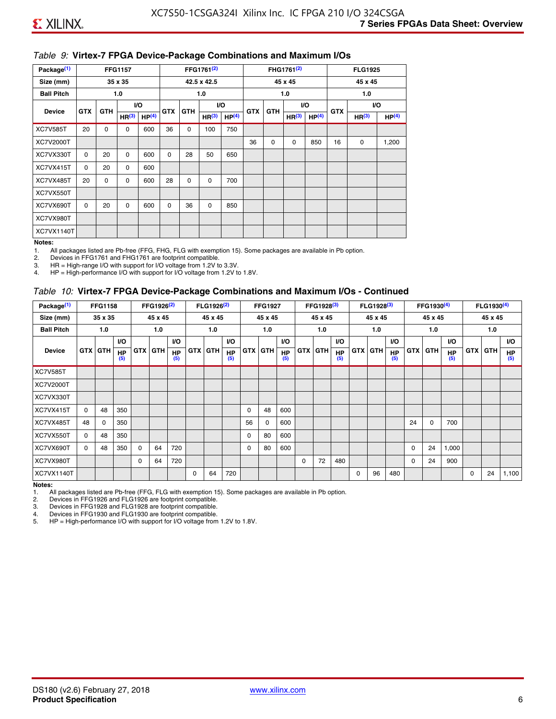#### *Table 9:* **Virtex-7 FPGA Device-Package Combinations and Maximum I/Os**

| Package <sup>(1)</sup> |            |             | <b>FFG1157</b>    |                   |            |            | FFG1761 <sup>(2)</sup> |                   |            |             | FHG1761 <sup>(2)</sup> |                   |            | <b>FLG1925</b>    |                   |
|------------------------|------------|-------------|-------------------|-------------------|------------|------------|------------------------|-------------------|------------|-------------|------------------------|-------------------|------------|-------------------|-------------------|
| Size (mm)              |            |             | 35 x 35           |                   |            |            | 42.5 x 42.5            |                   |            |             | 45 x 45                |                   |            | 45 x 45           |                   |
| <b>Ball Pitch</b>      |            |             | 1.0               |                   |            |            | 1.0                    |                   |            |             | 1.0                    |                   |            | 1.0               |                   |
| <b>Device</b>          | <b>GTX</b> | <b>GTH</b>  |                   | I/O               | <b>GTX</b> | <b>GTH</b> |                        | I/O               | <b>GTX</b> | <b>GTH</b>  | VO.                    |                   | <b>GTX</b> |                   | VO.               |
|                        |            |             | HR <sup>(3)</sup> | HP <sup>(4)</sup> |            |            | HR <sup>(3)</sup>      | HP <sup>(4)</sup> |            |             | HR <sup>(3)</sup>      | HP <sup>(4)</sup> |            | HR <sup>(3)</sup> | HP <sup>(4)</sup> |
| <b>XC7V585T</b>        | 20         | $\mathbf 0$ | 0                 | 600               | 36         | 0          | 100                    | 750               |            |             |                        |                   |            |                   |                   |
| XC7V2000T              |            |             |                   |                   |            |            |                        |                   | 36         | $\mathbf 0$ | 0                      | 850               | 16         | 0                 | 1,200             |
| XC7VX330T              | $\Omega$   | 20          | $\Omega$          | 600               | 0          | 28         | 50                     | 650               |            |             |                        |                   |            |                   |                   |
| XC7VX415T              | 0          | 20          | $\Omega$          | 600               |            |            |                        |                   |            |             |                        |                   |            |                   |                   |
| XC7VX485T              | 20         | 0           | 0                 | 600               | 28         | 0          | 0                      | 700               |            |             |                        |                   |            |                   |                   |
| XC7VX550T              |            |             |                   |                   |            |            |                        |                   |            |             |                        |                   |            |                   |                   |
| XC7VX690T              | $\Omega$   | 20          | $\Omega$          | 600               | $\Omega$   | 36         | 0                      | 850               |            |             |                        |                   |            |                   |                   |
| XC7VX980T              |            |             |                   |                   |            |            |                        |                   |            |             |                        |                   |            |                   |                   |
| XC7VX1140T             |            |             |                   |                   |            |            |                        |                   |            |             |                        |                   |            |                   |                   |

#### **Notes:**

1. All packages listed are Pb-free (FFG, FHG, FLG with exemption 15). Some packages are available in Pb option.

2. Devices in FFG1761 and FHG1761 are footprint compatible.<br>3. HR = High-range I/O with support for I/O voltage from 1.2V to

HR = High-range I/O with support for I/O voltage from 1.2V to 3.3V.

4. HP = High-performance I/O with support for I/O voltage from 1.2V to 1.8V.

#### *Table 10:* **Virtex-7 FPGA Device-Package Combinations and Maximum I/Os - Continued**

| Package <sup>(1)</sup> |          | <b>FFG1158</b> |                  |            | FFG1926 <sup>(2)</sup> |                  |            | FLG1926 <sup>(2)</sup> |                  |    | <b>FFG1927</b> |                  |            | FFG1928 <sup>(3)</sup> |                  |            | FLG1928 <sup>(3)</sup> |                  |            | FFG1930 <sup>(4)</sup> |           |            | FLG1930 <sup>(4)</sup> |                  |
|------------------------|----------|----------------|------------------|------------|------------------------|------------------|------------|------------------------|------------------|----|----------------|------------------|------------|------------------------|------------------|------------|------------------------|------------------|------------|------------------------|-----------|------------|------------------------|------------------|
| Size (mm)              |          | 35 x 35        |                  |            | 45 x 45                |                  |            | 45 x 45                |                  |    | 45 x 45        |                  |            | 45 x 45                |                  |            | 45 x 45                |                  |            | 45 x 45                |           |            | 45 x 45                |                  |
| <b>Ball Pitch</b>      |          | 1.0            |                  |            | 1.0                    |                  |            | 1.0                    |                  |    | 1.0            |                  |            | 1.0                    |                  |            | 1.0                    |                  |            | 1.0                    |           |            | 1.0                    |                  |
|                        |          |                | <b>VO</b>        |            |                        | <b>VO</b>        |            |                        | VO.              |    |                | <b>VO</b>        |            |                        | <b>VO</b>        |            |                        | <b>VO</b>        |            |                        | <b>VO</b> |            |                        | <b>VO</b>        |
| <b>Device</b>          |          | <b>GTX GTH</b> | <b>HP</b><br>(5) | <b>GTX</b> | <b>GTH</b>             | <b>HP</b><br>(5) | <b>GTX</b> | <b>GTH</b>             | <b>HP</b><br>(5) |    | <b>GTX GTH</b> | <b>HP</b><br>(5) | <b>GTX</b> | <b>GTH</b>             | <b>HP</b><br>(5) | <b>GTX</b> | <b>GTH</b>             | <b>HP</b><br>(5) | <b>GTX</b> | GTH                    | HP<br>(5) | <b>GTX</b> | GTH                    | <b>HP</b><br>(5) |
| <b>XC7V585T</b>        |          |                |                  |            |                        |                  |            |                        |                  |    |                |                  |            |                        |                  |            |                        |                  |            |                        |           |            |                        |                  |
| <b>XC7V2000T</b>       |          |                |                  |            |                        |                  |            |                        |                  |    |                |                  |            |                        |                  |            |                        |                  |            |                        |           |            |                        |                  |
| XC7VX330T              |          |                |                  |            |                        |                  |            |                        |                  |    |                |                  |            |                        |                  |            |                        |                  |            |                        |           |            |                        |                  |
| XC7VX415T              | $\Omega$ | 48             | 350              |            |                        |                  |            |                        |                  | 0  | 48             | 600              |            |                        |                  |            |                        |                  |            |                        |           |            |                        |                  |
| XC7VX485T              | 48       | $\Omega$       | 350              |            |                        |                  |            |                        |                  | 56 | 0              | 600              |            |                        |                  |            |                        |                  | 24         | $\Omega$               | 700       |            |                        |                  |
| XC7VX550T              | $\Omega$ | 48             | 350              |            |                        |                  |            |                        |                  | 0  | 80             | 600              |            |                        |                  |            |                        |                  |            |                        |           |            |                        |                  |
| XC7VX690T              | $\Omega$ | 48             | 350              | $\Omega$   | 64                     | 720              |            |                        |                  | 0  | 80             | 600              |            |                        |                  |            |                        |                  | 0          | 24                     | 1,000     |            |                        |                  |
| XC7VX980T              |          |                |                  | $\Omega$   | 64                     | 720              |            |                        |                  |    |                |                  | $\Omega$   | 72                     | 480              |            |                        |                  | 0          | 24                     | 900       |            |                        |                  |
| <b>XC7VX1140T</b>      |          |                |                  |            |                        |                  | $\Omega$   | 64                     | 720              |    |                |                  |            |                        |                  | $\Omega$   | 96                     | 480              |            |                        |           | $\Omega$   | 24                     | 1,100            |

**Notes:** 

1. All packages listed are Pb-free (FFG, FLG with exemption 15). Some packages are available in Pb option.<br>2. Devices in FFG1926 and FLG1926 are footprint compatible.

2. Devices in FFG1926 and FLG1926 are footprint compatible.

3. Devices in FFG1928 and FLG1928 are footprint compatible.

4. Devices in FFG1930 and FLG1930 are footprint compatible.<br>5. HP = High-performance I/O with support for I/O voltage from HP = High-performance I/O with support for I/O voltage from 1.2V to 1.8V.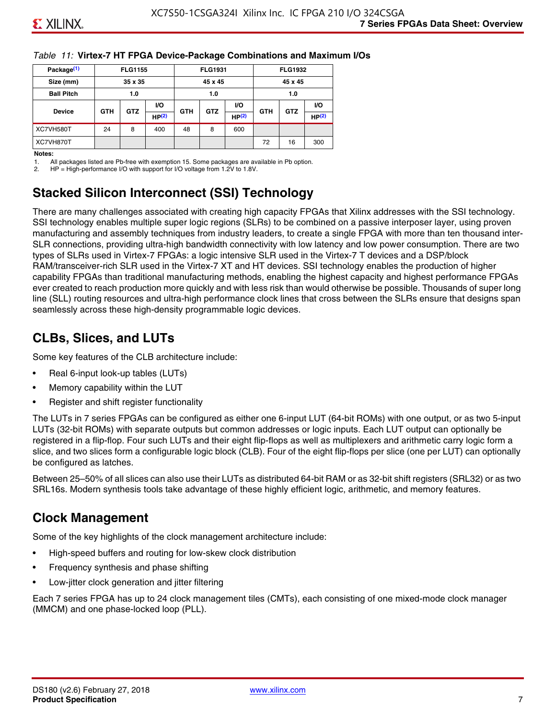#### *Table 11:* **Virtex-7 HT FPGA Device-Package Combinations and Maximum I/Os**

| Package <sup>(1)</sup> |            | <b>FLG1155</b> |       |            | <b>FLG1931</b> |       |            | <b>FLG1932</b> |                   |
|------------------------|------------|----------------|-------|------------|----------------|-------|------------|----------------|-------------------|
| Size (mm)              |            | 35 x 35        |       |            | 45 x 45        |       |            | 45 x 45        |                   |
| <b>Ball Pitch</b>      |            | 1.0            |       |            | 1.0            |       |            |                |                   |
|                        |            | <b>GTZ</b>     | VO.   | <b>VO</b>  |                |       | <b>GTH</b> | <b>GTZ</b>     | VO.               |
| <b>Device</b>          | <b>GTH</b> |                | HP(2) | <b>GTH</b> | <b>GTZ</b>     | HP(2) |            |                | HP <sup>(2)</sup> |
| XC7VH580T              | 24         | 8              | 400   | 48         | 8              | 600   |            |                |                   |
| XC7VH870T              |            |                |       |            |                |       | 72         | 16             | 300               |

#### **Notes:**

1. All packages listed are Pb-free with exemption 15. Some packages are available in Pb option.

2. HP = High-performance I/O with support for I/O voltage from 1.2V to 1.8V.

### **Stacked Silicon Interconnect (SSI) Technology**

There are many challenges associated with creating high capacity FPGAs that Xilinx addresses with the SSI technology. SSI technology enables multiple super logic regions (SLRs) to be combined on a passive interposer layer, using proven manufacturing and assembly techniques from industry leaders, to create a single FPGA with more than ten thousand inter-SLR connections, providing ultra-high bandwidth connectivity with low latency and low power consumption. There are two types of SLRs used in Virtex-7 FPGAs: a logic intensive SLR used in the Virtex-7 T devices and a DSP/block RAM/transceiver-rich SLR used in the Virtex-7 XT and HT devices. SSI technology enables the production of higher capability FPGAs than traditional manufacturing methods, enabling the highest capacity and highest performance FPGAs ever created to reach production more quickly and with less risk than would otherwise be possible. Thousands of super long line (SLL) routing resources and ultra-high performance clock lines that cross between the SLRs ensure that designs span seamlessly across these high-density programmable logic devices.

### **CLBs, Slices, and LUTs**

Some key features of the CLB architecture include:

- Real 6-input look-up tables (LUTs)
- Memory capability within the LUT
- Register and shift register functionality

The LUTs in 7 series FPGAs can be configured as either one 6-input LUT (64-bit ROMs) with one output, or as two 5-input LUTs (32-bit ROMs) with separate outputs but common addresses or logic inputs. Each LUT output can optionally be registered in a flip-flop. Four such LUTs and their eight flip-flops as well as multiplexers and arithmetic carry logic form a slice, and two slices form a configurable logic block (CLB). Four of the eight flip-flops per slice (one per LUT) can optionally be configured as latches.

Between 25–50% of all slices can also use their LUTs as distributed 64-bit RAM or as 32-bit shift registers (SRL32) or as two SRL16s. Modern synthesis tools take advantage of these highly efficient logic, arithmetic, and memory features.

### **Clock Management**

Some of the key highlights of the clock management architecture include:

- High-speed buffers and routing for low-skew clock distribution
- Frequency synthesis and phase shifting
- Low-jitter clock generation and jitter filtering

Each 7 series FPGA has up to 24 clock management tiles (CMTs), each consisting of one mixed-mode clock manager (MMCM) and one phase-locked loop (PLL).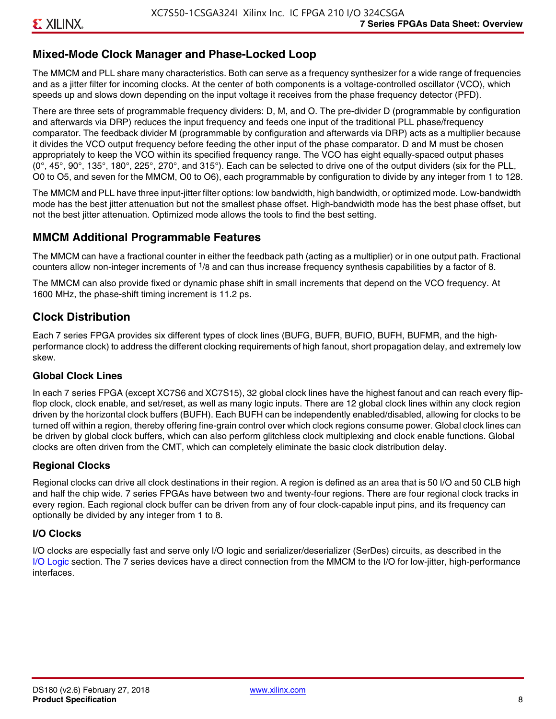### **Mixed-Mode Clock Manager and Phase-Locked Loop**

The MMCM and PLL share many characteristics. Both can serve as a frequency synthesizer for a wide range of frequencies and as a jitter filter for incoming clocks. At the center of both components is a voltage-controlled oscillator (VCO), which speeds up and slows down depending on the input voltage it receives from the phase frequency detector (PFD).

There are three sets of programmable frequency dividers: D, M, and O. The pre-divider D (programmable by configuration and afterwards via DRP) reduces the input frequency and feeds one input of the traditional PLL phase/frequency comparator. The feedback divider M (programmable by configuration and afterwards via DRP) acts as a multiplier because it divides the VCO output frequency before feeding the other input of the phase comparator. D and M must be chosen appropriately to keep the VCO within its specified frequency range. The VCO has eight equally-spaced output phases  $(0^\circ, 45^\circ, 90^\circ, 135^\circ, 180^\circ, 225^\circ, 270^\circ,$  and  $315^\circ$ ). Each can be selected to drive one of the output dividers (six for the PLL, O0 to O5, and seven for the MMCM, O0 to O6), each programmable by configuration to divide by any integer from 1 to 128.

The MMCM and PLL have three input-jitter filter options: low bandwidth, high bandwidth, or optimized mode. Low-bandwidth mode has the best jitter attenuation but not the smallest phase offset. High-bandwidth mode has the best phase offset, but not the best jitter attenuation. Optimized mode allows the tools to find the best setting.

### **MMCM Additional Programmable Features**

The MMCM can have a fractional counter in either the feedback path (acting as a multiplier) or in one output path. Fractional counters allow non-integer increments of  $1/8$  and can thus increase frequency synthesis capabilities by a factor of 8.

The MMCM can also provide fixed or dynamic phase shift in small increments that depend on the VCO frequency. At 1600 MHz, the phase-shift timing increment is 11.2 ps.

### **Clock Distribution**

Each 7 series FPGA provides six different types of clock lines (BUFG, BUFR, BUFIO, BUFH, BUFMR, and the highperformance clock) to address the different clocking requirements of high fanout, short propagation delay, and extremely low skew.

#### **Global Clock Lines**

In each 7 series FPGA (except XC7S6 and XC7S15), 32 global clock lines have the highest fanout and can reach every flipflop clock, clock enable, and set/reset, as well as many logic inputs. There are 12 global clock lines within any clock region driven by the horizontal clock buffers (BUFH). Each BUFH can be independently enabled/disabled, allowing for clocks to be turned off within a region, thereby offering fine-grain control over which clock regions consume power. Global clock lines can be driven by global clock buffers, which can also perform glitchless clock multiplexing and clock enable functions. Global clocks are often driven from the CMT, which can completely eliminate the basic clock distribution delay.

#### **Regional Clocks**

Regional clocks can drive all clock destinations in their region. A region is defined as an area that is 50 I/O and 50 CLB high and half the chip wide. 7 series FPGAs have between two and twenty-four regions. There are four regional clock tracks in every region. Each regional clock buffer can be driven from any of four clock-capable input pins, and its frequency can optionally be divided by any integer from 1 to 8.

#### **I/O Clocks**

I/O clocks are especially fast and serve only I/O logic and serializer/deserializer (SerDes) circuits, as described in the I/O Logic section. The 7 series devices have a direct connection from the MMCM to the I/O for low-jitter, high-performance interfaces.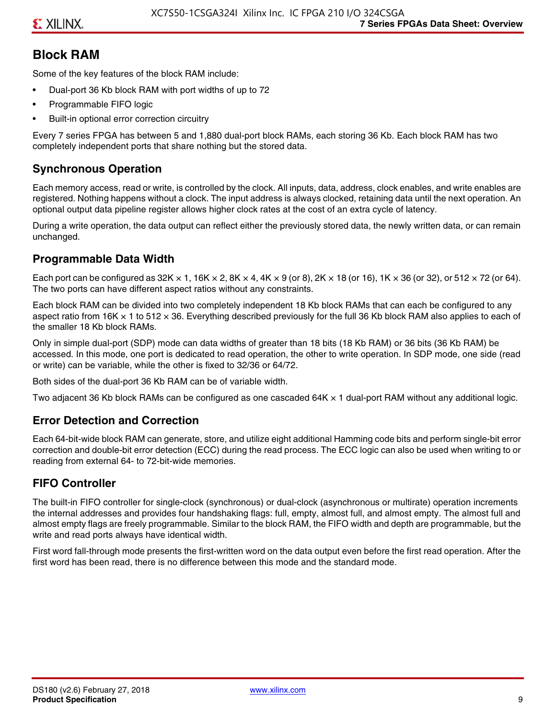### **Block RAM**

Some of the key features of the block RAM include:

- Dual-port 36 Kb block RAM with port widths of up to 72
- Programmable FIFO logic
- Built-in optional error correction circuitry

Every 7 series FPGA has between 5 and 1,880 dual-port block RAMs, each storing 36 Kb. Each block RAM has two completely independent ports that share nothing but the stored data.

### **Synchronous Operation**

Each memory access, read or write, is controlled by the clock. All inputs, data, address, clock enables, and write enables are registered. Nothing happens without a clock. The input address is always clocked, retaining data until the next operation. An optional output data pipeline register allows higher clock rates at the cost of an extra cycle of latency.

During a write operation, the data output can reflect either the previously stored data, the newly written data, or can remain unchanged.

#### **Programmable Data Width**

Each port can be configured as 32K  $\times$  1, 16K  $\times$  2, 8K  $\times$  4, 4K  $\times$  9 (or 8), 2K  $\times$  18 (or 16), 1K  $\times$  36 (or 32), or 512  $\times$  72 (or 64). The two ports can have different aspect ratios without any constraints.

Each block RAM can be divided into two completely independent 18 Kb block RAMs that can each be configured to any aspect ratio from 16K  $\times$  1 to 512  $\times$  36. Everything described previously for the full 36 Kb block RAM also applies to each of the smaller 18 Kb block RAMs.

Only in simple dual-port (SDP) mode can data widths of greater than 18 bits (18 Kb RAM) or 36 bits (36 Kb RAM) be accessed. In this mode, one port is dedicated to read operation, the other to write operation. In SDP mode, one side (read or write) can be variable, while the other is fixed to 32/36 or 64/72.

Both sides of the dual-port 36 Kb RAM can be of variable width.

Two adjacent 36 Kb block RAMs can be configured as one cascaded 64K × 1 dual-port RAM without any additional logic.

#### **Error Detection and Correction**

Each 64-bit-wide block RAM can generate, store, and utilize eight additional Hamming code bits and perform single-bit error correction and double-bit error detection (ECC) during the read process. The ECC logic can also be used when writing to or reading from external 64- to 72-bit-wide memories.

### **FIFO Controller**

The built-in FIFO controller for single-clock (synchronous) or dual-clock (asynchronous or multirate) operation increments the internal addresses and provides four handshaking flags: full, empty, almost full, and almost empty. The almost full and almost empty flags are freely programmable. Similar to the block RAM, the FIFO width and depth are programmable, but the write and read ports always have identical width.

First word fall-through mode presents the first-written word on the data output even before the first read operation. After the first word has been read, there is no difference between this mode and the standard mode.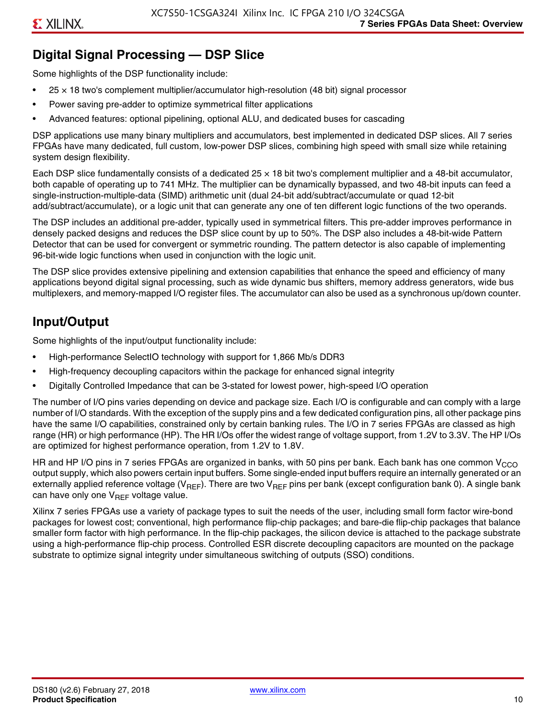### **Digital Signal Processing — DSP Slice**

Some highlights of the DSP functionality include:

- $25 \times 18$  two's complement multiplier/accumulator high-resolution (48 bit) signal processor
- Power saving pre-adder to optimize symmetrical filter applications
- Advanced features: optional pipelining, optional ALU, and dedicated buses for cascading

DSP applications use many binary multipliers and accumulators, best implemented in dedicated DSP slices. All 7 series FPGAs have many dedicated, full custom, low-power DSP slices, combining high speed with small size while retaining system design flexibility.

Each DSP slice fundamentally consists of a dedicated 25 × 18 bit two's complement multiplier and a 48-bit accumulator, both capable of operating up to 741 MHz. The multiplier can be dynamically bypassed, and two 48-bit inputs can feed a single-instruction-multiple-data (SIMD) arithmetic unit (dual 24-bit add/subtract/accumulate or quad 12-bit add/subtract/accumulate), or a logic unit that can generate any one of ten different logic functions of the two operands.

The DSP includes an additional pre-adder, typically used in symmetrical filters. This pre-adder improves performance in densely packed designs and reduces the DSP slice count by up to 50%. The DSP also includes a 48-bit-wide Pattern Detector that can be used for convergent or symmetric rounding. The pattern detector is also capable of implementing 96-bit-wide logic functions when used in conjunction with the logic unit.

The DSP slice provides extensive pipelining and extension capabilities that enhance the speed and efficiency of many applications beyond digital signal processing, such as wide dynamic bus shifters, memory address generators, wide bus multiplexers, and memory-mapped I/O register files. The accumulator can also be used as a synchronous up/down counter.

### **Input/Output**

Some highlights of the input/output functionality include:

- High-performance SelectIO technology with support for 1,866 Mb/s DDR3
- High-frequency decoupling capacitors within the package for enhanced signal integrity
- Digitally Controlled Impedance that can be 3-stated for lowest power, high-speed I/O operation

The number of I/O pins varies depending on device and package size. Each I/O is configurable and can comply with a large number of I/O standards. With the exception of the supply pins and a few dedicated configuration pins, all other package pins have the same I/O capabilities, constrained only by certain banking rules. The I/O in 7 series FPGAs are classed as high range (HR) or high performance (HP). The HR I/Os offer the widest range of voltage support, from 1.2V to 3.3V. The HP I/Os are optimized for highest performance operation, from 1.2V to 1.8V.

HR and HP I/O pins in 7 series FPGAs are organized in banks, with 50 pins per bank. Each bank has one common V<sub>CCO</sub> output supply, which also powers certain input buffers. Some single-ended input buffers require an internally generated or an externally applied reference voltage ( $V_{RFF}$ ). There are two  $V_{RFF}$  pins per bank (except configuration bank 0). A single bank can have only one  $V_{\text{RFF}}$  voltage value.

Xilinx 7 series FPGAs use a variety of package types to suit the needs of the user, including small form factor wire-bond packages for lowest cost; conventional, high performance flip-chip packages; and bare-die flip-chip packages that balance smaller form factor with high performance. In the flip-chip packages, the silicon device is attached to the package substrate using a high-performance flip-chip process. Controlled ESR discrete decoupling capacitors are mounted on the package substrate to optimize signal integrity under simultaneous switching of outputs (SSO) conditions.

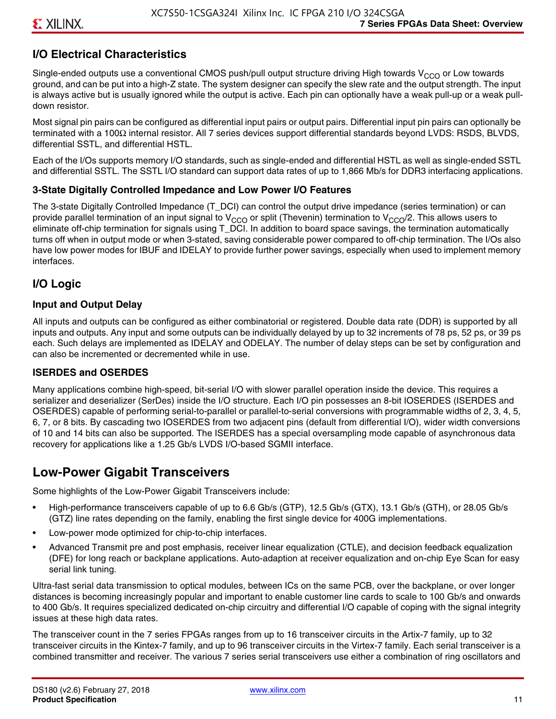### **I/O Electrical Characteristics**

Single-ended outputs use a conventional CMOS push/pull output structure driving High towards  $V_{CCO}$  or Low towards ground, and can be put into a high-Z state. The system designer can specify the slew rate and the output strength. The input is always active but is usually ignored while the output is active. Each pin can optionally have a weak pull-up or a weak pulldown resistor.

Most signal pin pairs can be configured as differential input pairs or output pairs. Differential input pin pairs can optionally be terminated with a 100Ω internal resistor. All 7 series devices support differential standards beyond LVDS: RSDS, BLVDS, differential SSTL, and differential HSTL.

Each of the I/Os supports memory I/O standards, such as single-ended and differential HSTL as well as single-ended SSTL and differential SSTL. The SSTL I/O standard can support data rates of up to 1,866 Mb/s for DDR3 interfacing applications.

#### **3-State Digitally Controlled Impedance and Low Power I/O Features**

The 3-state Digitally Controlled Impedance (T\_DCI) can control the output drive impedance (series termination) or can provide parallel termination of an input signal to V<sub>CCO</sub> or split (Thevenin) termination to V<sub>CCO</sub>/2. This allows users to eliminate off-chip termination for signals using T\_DCI. In addition to board space savings, the termination automatically turns off when in output mode or when 3-stated, saving considerable power compared to off-chip termination. The I/Os also have low power modes for IBUF and IDELAY to provide further power savings, especially when used to implement memory interfaces.

#### **I/O Logic**

#### **Input and Output Delay**

All inputs and outputs can be configured as either combinatorial or registered. Double data rate (DDR) is supported by all inputs and outputs. Any input and some outputs can be individually delayed by up to 32 increments of 78 ps, 52 ps, or 39 ps each. Such delays are implemented as IDELAY and ODELAY. The number of delay steps can be set by configuration and can also be incremented or decremented while in use.

#### **ISERDES and OSERDES**

Many applications combine high-speed, bit-serial I/O with slower parallel operation inside the device. This requires a serializer and deserializer (SerDes) inside the I/O structure. Each I/O pin possesses an 8-bit IOSERDES (ISERDES and OSERDES) capable of performing serial-to-parallel or parallel-to-serial conversions with programmable widths of 2, 3, 4, 5, 6, 7, or 8 bits. By cascading two IOSERDES from two adjacent pins (default from differential I/O), wider width conversions of 10 and 14 bits can also be supported. The ISERDES has a special oversampling mode capable of asynchronous data recovery for applications like a 1.25 Gb/s LVDS I/O-based SGMII interface.

### **Low-Power Gigabit Transceivers**

Some highlights of the Low-Power Gigabit Transceivers include:

- High-performance transceivers capable of up to 6.6 Gb/s (GTP), 12.5 Gb/s (GTX), 13.1 Gb/s (GTH), or 28.05 Gb/s (GTZ) line rates depending on the family, enabling the first single device for 400G implementations.
- Low-power mode optimized for chip-to-chip interfaces.
- Advanced Transmit pre and post emphasis, receiver linear equalization (CTLE), and decision feedback equalization (DFE) for long reach or backplane applications. Auto-adaption at receiver equalization and on-chip Eye Scan for easy serial link tuning.

Ultra-fast serial data transmission to optical modules, between ICs on the same PCB, over the backplane, or over longer distances is becoming increasingly popular and important to enable customer line cards to scale to 100 Gb/s and onwards to 400 Gb/s. It requires specialized dedicated on-chip circuitry and differential I/O capable of coping with the signal integrity issues at these high data rates.

The transceiver count in the 7 series FPGAs ranges from up to 16 transceiver circuits in the Artix-7 family, up to 32 transceiver circuits in the Kintex-7 family, and up to 96 transceiver circuits in the Virtex-7 family. Each serial transceiver is a combined transmitter and receiver. The various 7 series serial transceivers use either a combination of ring oscillators and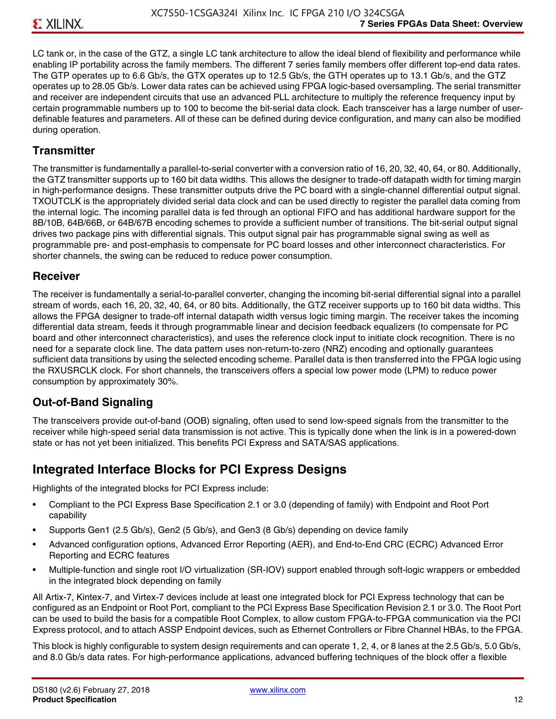LC tank or, in the case of the GTZ, a single LC tank architecture to allow the ideal blend of flexibility and performance while enabling IP portability across the family members. The different 7 series family members offer different top-end data rates. The GTP operates up to 6.6 Gb/s, the GTX operates up to 12.5 Gb/s, the GTH operates up to 13.1 Gb/s, and the GTZ operates up to 28.05 Gb/s. Lower data rates can be achieved using FPGA logic-based oversampling. The serial transmitter and receiver are independent circuits that use an advanced PLL architecture to multiply the reference frequency input by certain programmable numbers up to 100 to become the bit-serial data clock. Each transceiver has a large number of userdefinable features and parameters. All of these can be defined during device configuration, and many can also be modified during operation.

#### **Transmitter**

The transmitter is fundamentally a parallel-to-serial converter with a conversion ratio of 16, 20, 32, 40, 64, or 80. Additionally, the GTZ transmitter supports up to 160 bit data widths. This allows the designer to trade-off datapath width for timing margin in high-performance designs. These transmitter outputs drive the PC board with a single-channel differential output signal. TXOUTCLK is the appropriately divided serial data clock and can be used directly to register the parallel data coming from the internal logic. The incoming parallel data is fed through an optional FIFO and has additional hardware support for the 8B/10B, 64B/66B, or 64B/67B encoding schemes to provide a sufficient number of transitions. The bit-serial output signal drives two package pins with differential signals. This output signal pair has programmable signal swing as well as programmable pre- and post-emphasis to compensate for PC board losses and other interconnect characteristics. For shorter channels, the swing can be reduced to reduce power consumption.

#### **Receiver**

The receiver is fundamentally a serial-to-parallel converter, changing the incoming bit-serial differential signal into a parallel stream of words, each 16, 20, 32, 40, 64, or 80 bits. Additionally, the GTZ receiver supports up to 160 bit data widths. This allows the FPGA designer to trade-off internal datapath width versus logic timing margin. The receiver takes the incoming differential data stream, feeds it through programmable linear and decision feedback equalizers (to compensate for PC board and other interconnect characteristics), and uses the reference clock input to initiate clock recognition. There is no need for a separate clock line. The data pattern uses non-return-to-zero (NRZ) encoding and optionally guarantees sufficient data transitions by using the selected encoding scheme. Parallel data is then transferred into the FPGA logic using the RXUSRCLK clock. For short channels, the transceivers offers a special low power mode (LPM) to reduce power consumption by approximately 30%.

### **Out-of-Band Signaling**

The transceivers provide out-of-band (OOB) signaling, often used to send low-speed signals from the transmitter to the receiver while high-speed serial data transmission is not active. This is typically done when the link is in a powered-down state or has not yet been initialized. This benefits PCI Express and SATA/SAS applications.

### **Integrated Interface Blocks for PCI Express Designs**

Highlights of the integrated blocks for PCI Express include:

- Compliant to the PCI Express Base Specification 2.1 or 3.0 (depending of family) with Endpoint and Root Port capability
- Supports Gen1 (2.5 Gb/s), Gen2 (5 Gb/s), and Gen3 (8 Gb/s) depending on device family
- Advanced configuration options, Advanced Error Reporting (AER), and End-to-End CRC (ECRC) Advanced Error Reporting and ECRC features
- Multiple-function and single root I/O virtualization (SR-IOV) support enabled through soft-logic wrappers or embedded in the integrated block depending on family

All Artix-7, Kintex-7, and Virtex-7 devices include at least one integrated block for PCI Express technology that can be configured as an Endpoint or Root Port, compliant to the PCI Express Base Specification Revision 2.1 or 3.0. The Root Port can be used to build the basis for a compatible Root Complex, to allow custom FPGA-to-FPGA communication via the PCI Express protocol, and to attach ASSP Endpoint devices, such as Ethernet Controllers or Fibre Channel HBAs, to the FPGA.

This block is highly configurable to system design requirements and can operate 1, 2, 4, or 8 lanes at the 2.5 Gb/s, 5.0 Gb/s, and 8.0 Gb/s data rates. For high-performance applications, advanced buffering techniques of the block offer a flexible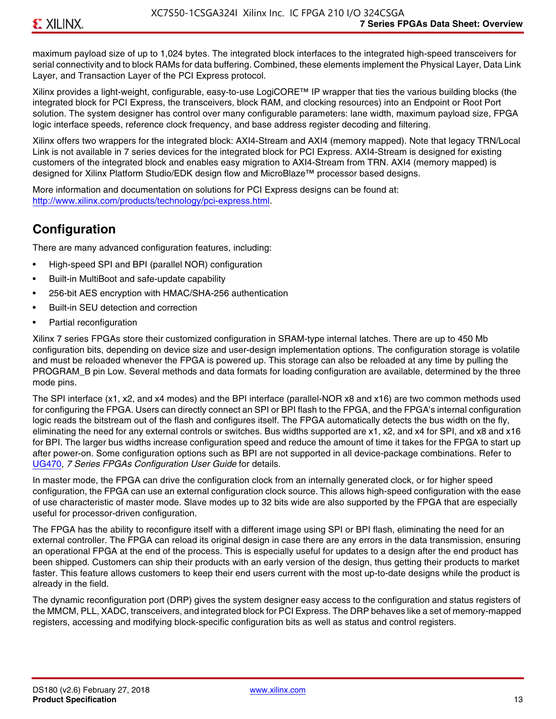maximum payload size of up to 1,024 bytes. The integrated block interfaces to the integrated high-speed transceivers for serial connectivity and to block RAMs for data buffering. Combined, these elements implement the Physical Layer, Data Link Layer, and Transaction Layer of the PCI Express protocol.

Xilinx provides a light-weight, configurable, easy-to-use LogiCORE™ IP wrapper that ties the various building blocks (the integrated block for PCI Express, the transceivers, block RAM, and clocking resources) into an Endpoint or Root Port solution. The system designer has control over many configurable parameters: lane width, maximum payload size, FPGA logic interface speeds, reference clock frequency, and base address register decoding and filtering.

Xilinx offers two wrappers for the integrated block: AXI4-Stream and AXI4 (memory mapped). Note that legacy TRN/Local Link is not available in 7 series devices for the integrated block for PCI Express. AXI4-Stream is designed for existing customers of the integrated block and enables easy migration to AXI4-Stream from TRN. AXI4 (memory mapped) is designed for Xilinx Platform Studio/EDK design flow and MicroBlaze™ processor based designs.

More information and documentation on solutions for PCI Express designs can be found at: <http://www.xilinx.com/products/technology/pci-express.html>.

### **Configuration**

There are many advanced configuration features, including:

- High-speed SPI and BPI (parallel NOR) configuration
- Built-in MultiBoot and safe-update capability
- 256-bit AES encryption with HMAC/SHA-256 authentication
- Built-in SEU detection and correction
- Partial reconfiguration

Xilinx 7 series FPGAs store their customized configuration in SRAM-type internal latches. There are up to 450 Mb configuration bits, depending on device size and user-design implementation options. The configuration storage is volatile and must be reloaded whenever the FPGA is powered up. This storage can also be reloaded at any time by pulling the PROGRAM B pin Low. Several methods and data formats for loading configuration are available, determined by the three mode pins.

The SPI interface (x1, x2, and x4 modes) and the BPI interface (parallel-NOR x8 and x16) are two common methods used for configuring the FPGA. Users can directly connect an SPI or BPI flash to the FPGA, and the FPGA's internal configuration logic reads the bitstream out of the flash and configures itself. The FPGA automatically detects the bus width on the fly, eliminating the need for any external controls or switches. Bus widths supported are x1, x2, and x4 for SPI, and x8 and x16 for BPI. The larger bus widths increase configuration speed and reduce the amount of time it takes for the FPGA to start up after power-on. Some configuration options such as BPI are not supported in all device-package combinations. Refer to [UG470,](http://www.xilinx.com/support/documentation/user_guides/ug470_7Series_Config.pdf) *7 Series FPGAs Configuration User Guide* for details.

In master mode, the FPGA can drive the configuration clock from an internally generated clock, or for higher speed configuration, the FPGA can use an external configuration clock source. This allows high-speed configuration with the ease of use characteristic of master mode. Slave modes up to 32 bits wide are also supported by the FPGA that are especially useful for processor-driven configuration.

The FPGA has the ability to reconfigure itself with a different image using SPI or BPI flash, eliminating the need for an external controller. The FPGA can reload its original design in case there are any errors in the data transmission, ensuring an operational FPGA at the end of the process. This is especially useful for updates to a design after the end product has been shipped. Customers can ship their products with an early version of the design, thus getting their products to market faster. This feature allows customers to keep their end users current with the most up-to-date designs while the product is already in the field.

The dynamic reconfiguration port (DRP) gives the system designer easy access to the configuration and status registers of the MMCM, PLL, XADC, transceivers, and integrated block for PCI Express. The DRP behaves like a set of memory-mapped registers, accessing and modifying block-specific configuration bits as well as status and control registers.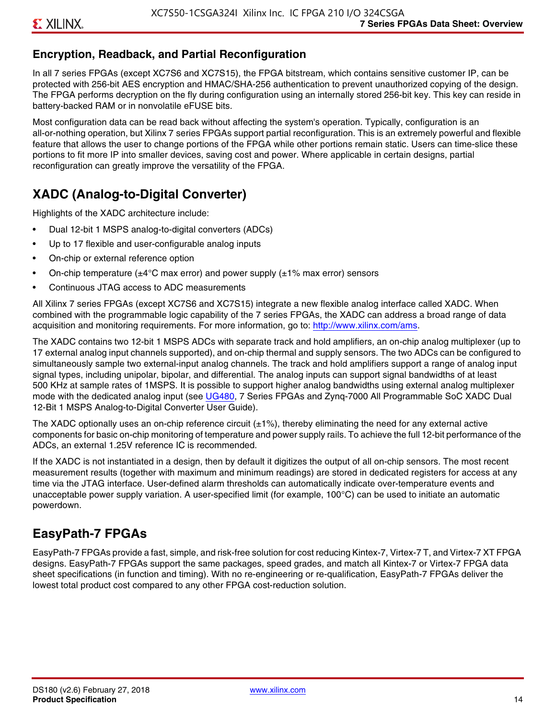### **Encryption, Readback, and Partial Reconfiguration**

In all 7 series FPGAs (except XC7S6 and XC7S15), the FPGA bitstream, which contains sensitive customer IP, can be protected with 256-bit AES encryption and HMAC/SHA-256 authentication to prevent unauthorized copying of the design. The FPGA performs decryption on the fly during configuration using an internally stored 256-bit key. This key can reside in battery-backed RAM or in nonvolatile eFUSE bits.

Most configuration data can be read back without affecting the system's operation. Typically, configuration is an all-or-nothing operation, but Xilinx 7 series FPGAs support partial reconfiguration. This is an extremely powerful and flexible feature that allows the user to change portions of the FPGA while other portions remain static. Users can time-slice these portions to fit more IP into smaller devices, saving cost and power. Where applicable in certain designs, partial reconfiguration can greatly improve the versatility of the FPGA.

### **XADC (Analog-to-Digital Converter)**

Highlights of the XADC architecture include:

- Dual 12-bit 1 MSPS analog-to-digital converters (ADCs)
- Up to 17 flexible and user-configurable analog inputs
- On-chip or external reference option
- On-chip temperature ( $\pm 4^{\circ}$ C max error) and power supply ( $\pm 1\%$  max error) sensors
- Continuous JTAG access to ADC measurements

All Xilinx 7 series FPGAs (except XC7S6 and XC7S15) integrate a new flexible analog interface called XADC. When combined with the programmable logic capability of the 7 series FPGAs, the XADC can address a broad range of data acquisition and monitoring requirements. For more information, go to: [http://www.xilinx.com/ams.](http://www.xilinx.com/ams)

The XADC contains two 12-bit 1 MSPS ADCs with separate track and hold amplifiers, an on-chip analog multiplexer (up to 17 external analog input channels supported), and on-chip thermal and supply sensors. The two ADCs can be configured to simultaneously sample two external-input analog channels. The track and hold amplifiers support a range of analog input signal types, including unipolar, bipolar, and differential. The analog inputs can support signal bandwidths of at least 500 KHz at sample rates of 1MSPS. It is possible to support higher analog bandwidths using external analog multiplexer mode with the dedicated analog input (see [UG480](http://www.xilinx.com/support/documentation/user_guides/ug480_7Series_XADC.pdf), 7 Series FPGAs and Zynq-7000 All Programmable SoC XADC Dual 12-Bit 1 MSPS Analog-to-Digital Converter User Guide)*.*

The XADC optionally uses an on-chip reference circuit  $(\pm 1\%)$ , thereby eliminating the need for any external active components for basic on-chip monitoring of temperature and power supply rails. To achieve the full 12-bit performance of the ADCs, an external 1.25V reference IC is recommended.

If the XADC is not instantiated in a design, then by default it digitizes the output of all on-chip sensors. The most recent measurement results (together with maximum and minimum readings) are stored in dedicated registers for access at any time via the JTAG interface. User-defined alarm thresholds can automatically indicate over-temperature events and unacceptable power supply variation. A user-specified limit (for example, 100°C) can be used to initiate an automatic powerdown.

### **EasyPath-7 FPGAs**

EasyPath-7 FPGAs provide a fast, simple, and risk-free solution for cost reducing Kintex-7, Virtex-7 T, and Virtex-7 XT FPGA designs. EasyPath-7 FPGAs support the same packages, speed grades, and match all Kintex-7 or Virtex-7 FPGA data sheet specifications (in function and timing). With no re-engineering or re-qualification, EasyPath-7 FPGAs deliver the lowest total product cost compared to any other FPGA cost-reduction solution.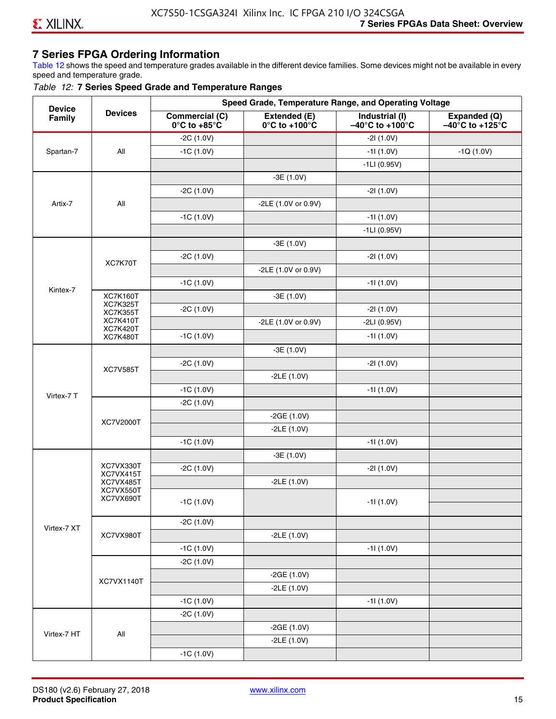### **7 Series FPGA Ordering Information**

Table 12 shows the speed and temperature grades available in the different device families. Some devices might not be available in every speed and temperature grade.

#### *Table 12:* **7 Series Speed Grade and Temperature Ranges**

| <b>Device</b> |                                    |                                                        |                                                    | Speed Grade, Temperature Range, and Operating Voltage  |                                                      |
|---------------|------------------------------------|--------------------------------------------------------|----------------------------------------------------|--------------------------------------------------------|------------------------------------------------------|
| Family        | <b>Devices</b>                     | <b>Commercial (C)</b><br>$0^\circ$ C to +85 $^\circ$ C | Extended (E)<br>$0^{\circ}$ C to +100 $^{\circ}$ C | Industrial (I)<br>$-40^{\circ}$ C to +100 $^{\circ}$ C | Expanded (Q)<br>$-40^{\circ}$ C to +125 $^{\circ}$ C |
|               |                                    | $-2C(1.0V)$                                            |                                                    | $-21(1.0V)$                                            |                                                      |
| Spartan-7     | All                                | $-1C(1.0V)$                                            |                                                    | $-11(1.0V)$                                            | $-1Q(1.0V)$                                          |
|               |                                    |                                                        |                                                    | $-1LI(0.95V)$                                          |                                                      |
|               |                                    |                                                        | $-3E(1.0V)$                                        |                                                        |                                                      |
|               |                                    | $-2C(1.0V)$                                            |                                                    | $-21(1.0V)$                                            |                                                      |
| Artix-7       | All                                |                                                        | -2LE (1.0V or 0.9V)                                |                                                        |                                                      |
|               |                                    | $-1C(1.0V)$                                            |                                                    | $-11(1.0V)$                                            |                                                      |
|               |                                    |                                                        |                                                    | $-1LI(0.95V)$                                          |                                                      |
|               |                                    |                                                        | $-3E(1.0V)$                                        |                                                        |                                                      |
|               |                                    | $-2C(1.0V)$                                            |                                                    | $-21(1.0V)$                                            |                                                      |
|               | XC7K70T                            |                                                        | -2LE (1.0V or 0.9V)                                |                                                        |                                                      |
|               |                                    | $-1C(1.0V)$                                            |                                                    | $-11(1.0V)$                                            |                                                      |
| Kintex-7      | <b>XC7K160T</b>                    |                                                        | $-3E(1.0V)$                                        |                                                        |                                                      |
|               | <b>XC7K325T</b><br><b>XC7K355T</b> | $-2C(1.0V)$                                            |                                                    | $-21(1.0V)$                                            |                                                      |
|               | <b>XC7K410T</b>                    |                                                        | -2LE (1.0V or 0.9V)                                | $-2LI(0.95V)$                                          |                                                      |
|               | <b>XC7K420T</b><br><b>XC7K480T</b> | $-1C(1.0V)$                                            |                                                    | $-11(1.0V)$                                            |                                                      |
|               |                                    |                                                        | $-3E(1.0V)$                                        |                                                        |                                                      |
|               |                                    | $-2C(1.0V)$                                            |                                                    | $-21(1.0V)$                                            |                                                      |
|               | <b>XC7V585T</b>                    |                                                        | $-2LE(1.0V)$                                       |                                                        |                                                      |
|               |                                    | $-1C(1.0V)$                                            |                                                    | $-11(1.0V)$                                            |                                                      |
| Virtex-7 T    |                                    | $-2C(1.0V)$                                            |                                                    |                                                        |                                                      |
|               |                                    |                                                        | $-2GE(1.0V)$                                       |                                                        |                                                      |
|               | XC7V2000T                          |                                                        | $-2LE(1.0V)$                                       |                                                        |                                                      |
|               |                                    | $-1C(1.0V)$                                            |                                                    | $-11(1.0V)$                                            |                                                      |
|               |                                    |                                                        | $-3E(1.0V)$                                        |                                                        |                                                      |
|               | XC7VX330T                          | $-2C(1.0V)$                                            |                                                    | $-21(1.0V)$                                            |                                                      |
|               | XC7VX415T<br>XC7VX485T             |                                                        | $-2LE(1.0V)$                                       |                                                        |                                                      |
|               | XC7VX550T                          |                                                        |                                                    |                                                        |                                                      |
|               | XC7VX690T                          | $-1C(1.0V)$                                            |                                                    | $-11(1.0V)$                                            |                                                      |
|               |                                    | $-2C(1.0V)$                                            |                                                    |                                                        |                                                      |
| Virtex-7 XT   | XC7VX980T                          |                                                        | $-2LE(1.0V)$                                       |                                                        |                                                      |
|               |                                    | $-1C(1.0V)$                                            |                                                    | $-11(1.0V)$                                            |                                                      |
|               |                                    | $-2C(1.0V)$                                            |                                                    |                                                        |                                                      |
|               |                                    |                                                        | $-2GE(1.0V)$                                       |                                                        |                                                      |
|               | XC7VX1140T                         |                                                        | $-2LE(1.0V)$                                       |                                                        |                                                      |
|               |                                    | $-1C(1.0V)$                                            |                                                    | $-11(1.0V)$                                            |                                                      |
|               |                                    | $-2C(1.0V)$                                            |                                                    |                                                        |                                                      |
|               |                                    |                                                        | $-2GE(1.0V)$                                       |                                                        |                                                      |
| Virtex-7 HT   | $\mathsf{All}\xspace$              |                                                        | $-2LE(1.0V)$                                       |                                                        |                                                      |
|               |                                    | $-1C(1.0V)$                                            |                                                    |                                                        |                                                      |
|               |                                    |                                                        |                                                    |                                                        |                                                      |

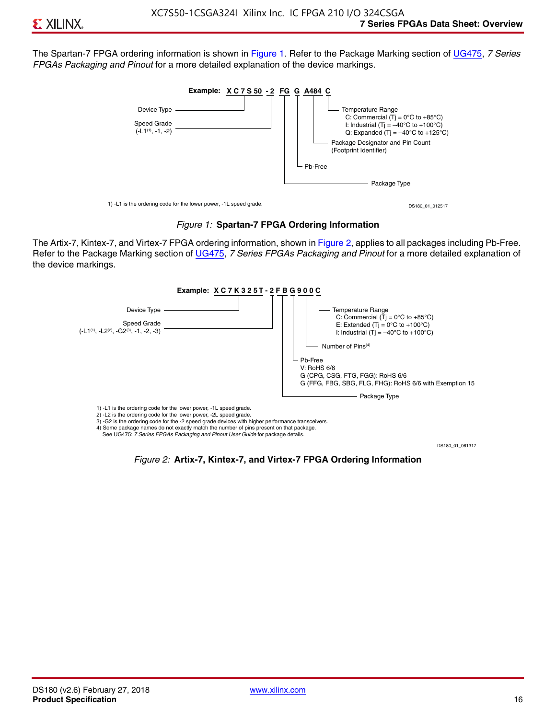The Spartan-7 FPGA ordering information is shown in Figure 1. Refer to the Package Marking section of [UG475,](http://www.xilinx.com/support/documentation/user_guides/ug475_7Series_Pkg_Pinout.pdf) *7 Series FPGAs Packaging and Pinout* for a more detailed explanation of the device markings.





The Artix-7, Kintex-7, and Virtex-7 FPGA ordering information, shown in Figure 2, applies to all packages including Pb-Free. Refer to the Package Marking section of [UG475](http://www.xilinx.com/support/documentation/user_guides/ug475_7Series_Pkg_Pinout.pdf), *7 Series FPGAs Packaging and Pinout* for a more detailed explanation of the device markings.



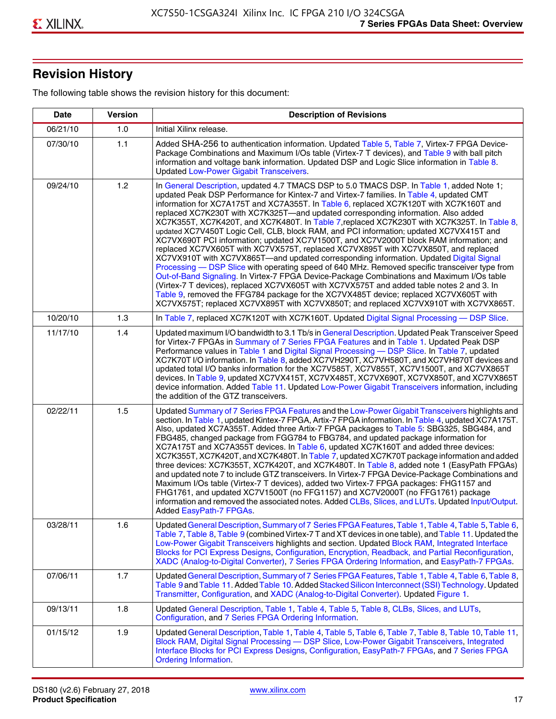## **Revision History**

The following table shows the revision history for this document:

| <b>Date</b> | <b>Version</b> | <b>Description of Revisions</b>                                                                                                                                                                                                                                                                                                                                                                                                                                                                                                                                                                                                                                                                                                                                                                                                                                                                                                                                                                                                                                                                                                                                                                                                                                                                                       |
|-------------|----------------|-----------------------------------------------------------------------------------------------------------------------------------------------------------------------------------------------------------------------------------------------------------------------------------------------------------------------------------------------------------------------------------------------------------------------------------------------------------------------------------------------------------------------------------------------------------------------------------------------------------------------------------------------------------------------------------------------------------------------------------------------------------------------------------------------------------------------------------------------------------------------------------------------------------------------------------------------------------------------------------------------------------------------------------------------------------------------------------------------------------------------------------------------------------------------------------------------------------------------------------------------------------------------------------------------------------------------|
| 06/21/10    | 1.0            | Initial Xilinx release.                                                                                                                                                                                                                                                                                                                                                                                                                                                                                                                                                                                                                                                                                                                                                                                                                                                                                                                                                                                                                                                                                                                                                                                                                                                                                               |
| 07/30/10    | 1.1            | Added SHA-256 to authentication information. Updated Table 5, Table 7, Virtex-7 FPGA Device-<br>Package Combinations and Maximum I/Os table (Virtex-7 T devices), and Table 9 with ball pitch<br>information and voltage bank information. Updated DSP and Logic Slice information in Table 8.<br><b>Updated Low-Power Gigabit Transceivers.</b>                                                                                                                                                                                                                                                                                                                                                                                                                                                                                                                                                                                                                                                                                                                                                                                                                                                                                                                                                                      |
| 09/24/10    | 1.2            | In General Description, updated 4.7 TMACS DSP to 5.0 TMACS DSP. In Table 1, added Note 1;<br>updated Peak DSP Performance for Kintex-7 and Virtex-7 families. In Table 4, updated CMT<br>information for XC7A175T and XC7A355T. In Table 6, replaced XC7K120T with XC7K160T and<br>replaced XC7K230T with XC7K325T-and updated corresponding information. Also added<br>XC7K355T, XC7K420T, and XC7K480T. In Table 7, replaced XC7K230T with XC7K325T. In Table 8,<br>updated XC7V450T Logic Cell, CLB, block RAM, and PCI information; updated XC7VX415T and<br>XC7VX690T PCI information; updated XC7V1500T, and XC7V2000T block RAM information; and<br>replaced XC7VX605T with XC7VX575T, replaced XC7VX895T with XC7VX850T, and replaced<br>XC7VX910T with XC7VX865T—and updated corresponding information. Updated Digital Signal<br>Processing - DSP Slice with operating speed of 640 MHz. Removed specific transceiver type from<br>Out-of-Band Signaling. In Virtex-7 FPGA Device-Package Combinations and Maximum I/Os table<br>(Virtex-7 T devices), replaced XC7VX605T with XC7VX575T and added table notes 2 and 3. In<br>Table 9, removed the FFG784 package for the XC7VX485T device; replaced XC7VX605T with<br>XC7VX575T; replaced XC7VX895T with XC7VX850T; and replaced XC7VX910T with XC7VX865T. |
| 10/20/10    | 1.3            | In Table 7, replaced XC7K120T with XC7K160T. Updated Digital Signal Processing - DSP Slice.                                                                                                                                                                                                                                                                                                                                                                                                                                                                                                                                                                                                                                                                                                                                                                                                                                                                                                                                                                                                                                                                                                                                                                                                                           |
| 11/17/10    | 1.4            | Updated maximum I/O bandwidth to 3.1 Tb/s in General Description. Updated Peak Transceiver Speed<br>for Virtex-7 FPGAs in Summary of 7 Series FPGA Features and in Table 1. Updated Peak DSP<br>Performance values in Table 1 and Digital Signal Processing - DSP Slice. In Table 7, updated<br>XC7K70T I/O information. In Table 8, added XC7VH290T, XC7VH580T, and XC7VH870T devices and<br>updated total I/O banks information for the XC7V585T, XC7V855T, XC7V1500T, and XC7VX865T<br>devices. In Table 9, updated XC7VX415T, XC7VX485T, XC7VX690T, XC7VX850T, and XC7VX865T<br>device information. Added Table 11. Updated Low-Power Gigabit Transceivers information, including<br>the addition of the GTZ transceivers.                                                                                                                                                                                                                                                                                                                                                                                                                                                                                                                                                                                        |
| 02/22/11    | 1.5            | Updated Summary of 7 Series FPGA Features and the Low-Power Gigabit Transceivers highlights and<br>section. In Table 1, updated Kintex-7 FPGA, Artix-7 FPGA information. In Table 4, updated XC7A175T.<br>Also, updated XC7A355T. Added three Artix-7 FPGA packages to Table 5: SBG325, SBG484, and<br>FBG485, changed package from FGG784 to FBG784, and updated package information for<br>XC7A175T and XC7A355T devices. In Table 6, updated XC7K160T and added three devices:<br>XC7K355T, XC7K420T, and XC7K480T. In Table 7, updated XC7K70T package information and added<br>three devices: XC7K355T, XC7K420T, and XC7K480T. In Table 8, added note 1 (EasyPath FPGAs)<br>and updated note 7 to include GTZ transceivers. In Virtex-7 FPGA Device-Package Combinations and<br>Maximum I/Os table (Virtex-7 T devices), added two Virtex-7 FPGA packages: FHG1157 and<br>FHG1761, and updated XC7V1500T (no FFG1157) and XC7V2000T (no FFG1761) package<br>information and removed the associated notes. Added CLBs, Slices, and LUTs. Updated Input/Output.<br>Added EasyPath-7 FPGAs.                                                                                                                                                                                                                        |
| 03/28/11    | 1.6            | Updated General Description, Summary of 7 Series FPGA Features, Table 1, Table 4, Table 5, Table 6,<br>Table 7, Table 8, Table 9 (combined Virtex-7 T and XT devices in one table), and Table 11. Updated the<br>Low-Power Gigabit Transceivers highlights and section. Updated Block RAM, Integrated Interface<br>Blocks for PCI Express Designs, Configuration, Encryption, Readback, and Partial Reconfiguration,<br>XADC (Analog-to-Digital Converter), 7 Series FPGA Ordering Information, and EasyPath-7 FPGAs.                                                                                                                                                                                                                                                                                                                                                                                                                                                                                                                                                                                                                                                                                                                                                                                                 |
| 07/06/11    | 1.7            | Updated General Description, Summary of 7 Series FPGA Features, Table 1, Table 4, Table 6, Table 8,<br>Table 9 and Table 11. Added Table 10. Added Stacked Silicon Interconnect (SSI) Technology. Updated<br>Transmitter, Configuration, and XADC (Analog-to-Digital Converter). Updated Figure 1.                                                                                                                                                                                                                                                                                                                                                                                                                                                                                                                                                                                                                                                                                                                                                                                                                                                                                                                                                                                                                    |
| 09/13/11    | 1.8            | Updated General Description, Table 1, Table 4, Table 5, Table 8, CLBs, Slices, and LUTs,<br>Configuration, and 7 Series FPGA Ordering Information.                                                                                                                                                                                                                                                                                                                                                                                                                                                                                                                                                                                                                                                                                                                                                                                                                                                                                                                                                                                                                                                                                                                                                                    |
| 01/15/12    | 1.9            | Updated General Description, Table 1, Table 4, Table 5, Table 6, Table 7, Table 8, Table 10, Table 11,<br>Block RAM, Digital Signal Processing - DSP Slice, Low-Power Gigabit Transceivers, Integrated<br>Interface Blocks for PCI Express Designs, Configuration, EasyPath-7 FPGAs, and 7 Series FPGA<br><b>Ordering Information.</b>                                                                                                                                                                                                                                                                                                                                                                                                                                                                                                                                                                                                                                                                                                                                                                                                                                                                                                                                                                                |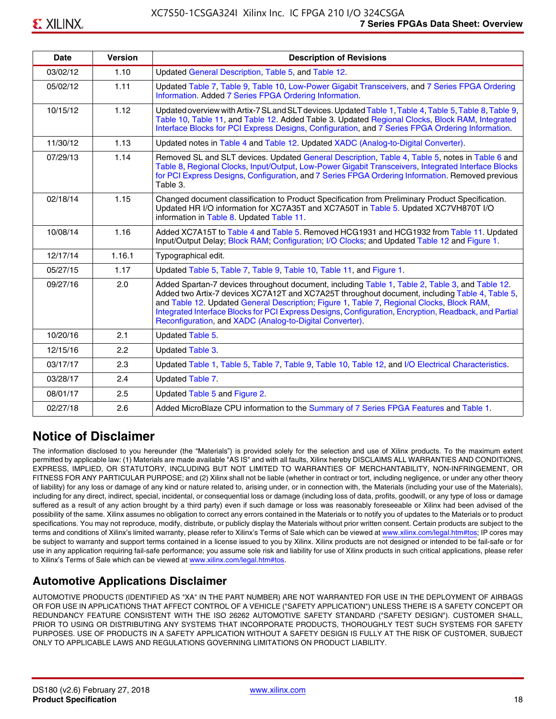| <b>Date</b> | <b>Version</b> | <b>Description of Revisions</b>                                                                                                                                                                                                                                                                                                                                                                                                                                     |
|-------------|----------------|---------------------------------------------------------------------------------------------------------------------------------------------------------------------------------------------------------------------------------------------------------------------------------------------------------------------------------------------------------------------------------------------------------------------------------------------------------------------|
| 03/02/12    | 1.10           | Updated General Description, Table 5, and Table 12.                                                                                                                                                                                                                                                                                                                                                                                                                 |
| 05/02/12    | 1.11           | Updated Table 7, Table 9, Table 10, Low-Power Gigabit Transceivers, and 7 Series FPGA Ordering<br>Information. Added 7 Series FPGA Ordering Information.                                                                                                                                                                                                                                                                                                            |
| 10/15/12    | 1.12           | Updated overview with Artix-7 SL and SLT devices. Updated Table 1, Table 4, Table 5, Table 8, Table 9,<br>Table 10, Table 11, and Table 12. Added Table 3. Updated Regional Clocks, Block RAM, Integrated<br>Interface Blocks for PCI Express Designs, Configuration, and 7 Series FPGA Ordering Information.                                                                                                                                                       |
| 11/30/12    | 1.13           | Updated notes in Table 4 and Table 12. Updated XADC (Analog-to-Digital Converter).                                                                                                                                                                                                                                                                                                                                                                                  |
| 07/29/13    | 1.14           | Removed SL and SLT devices. Updated General Description, Table 4, Table 5, notes in Table 6 and<br>Table 8, Regional Clocks, Input/Output, Low-Power Gigabit Transceivers, Integrated Interface Blocks<br>for PCI Express Designs, Configuration, and 7 Series FPGA Ordering Information. Removed previous<br>Table 3.                                                                                                                                              |
| 02/18/14    | 1.15           | Changed document classification to Product Specification from Preliminary Product Specification.<br>Updated HR I/O information for XC7A35T and XC7A50T in Table 5. Updated XC7VH870T I/O<br>information in Table 8. Updated Table 11.                                                                                                                                                                                                                               |
| 10/08/14    | 1.16           | Added XC7A15T to Table 4 and Table 5. Removed HCG1931 and HCG1932 from Table 11. Updated<br>Input/Output Delay; Block RAM; Configuration; I/O Clocks; and Updated Table 12 and Figure 1.                                                                                                                                                                                                                                                                            |
| 12/17/14    | 1.16.1         | Typographical edit.                                                                                                                                                                                                                                                                                                                                                                                                                                                 |
| 05/27/15    | 1.17           | Updated Table 5, Table 7, Table 9, Table 10, Table 11, and Figure 1.                                                                                                                                                                                                                                                                                                                                                                                                |
| 09/27/16    | 2.0            | Added Spartan-7 devices throughout document, including Table 1, Table 2, Table 3, and Table 12.<br>Added two Artix-7 devices XC7A12T and XC7A25T throughout document, including Table 4, Table 5,<br>and Table 12. Updated General Description; Figure 1, Table 7, Regional Clocks, Block RAM,<br>Integrated Interface Blocks for PCI Express Designs, Configuration, Encryption, Readback, and Partial<br>Reconfiguration, and XADC (Analog-to-Digital Converter). |
| 10/20/16    | 2.1            | Updated Table 5.                                                                                                                                                                                                                                                                                                                                                                                                                                                    |
| 12/15/16    | 2.2            | Updated Table 3.                                                                                                                                                                                                                                                                                                                                                                                                                                                    |
| 03/17/17    | 2.3            | Updated Table 1, Table 5, Table 7, Table 9, Table 10, Table 12, and I/O Electrical Characteristics.                                                                                                                                                                                                                                                                                                                                                                 |
| 03/28/17    | 2.4            | Updated Table 7.                                                                                                                                                                                                                                                                                                                                                                                                                                                    |
| 08/01/17    | 2.5            | Updated Table 5 and Figure 2.                                                                                                                                                                                                                                                                                                                                                                                                                                       |
| 02/27/18    | 2.6            | Added MicroBlaze CPU information to the Summary of 7 Series FPGA Features and Table 1.                                                                                                                                                                                                                                                                                                                                                                              |

### **Notice of Disclaimer**

The information disclosed to you hereunder (the "Materials") is provided solely for the selection and use of Xilinx products. To the maximum extent permitted by applicable law: (1) Materials are made available "AS IS" and with all faults, Xilinx hereby DISCLAIMS ALL WARRANTIES AND CONDITIONS, EXPRESS, IMPLIED, OR STATUTORY, INCLUDING BUT NOT LIMITED TO WARRANTIES OF MERCHANTABILITY, NON-INFRINGEMENT, OR FITNESS FOR ANY PARTICULAR PURPOSE; and (2) Xilinx shall not be liable (whether in contract or tort, including negligence, or under any other theory of liability) for any loss or damage of any kind or nature related to, arising under, or in connection with, the Materials (including your use of the Materials), including for any direct, indirect, special, incidental, or consequential loss or damage (including loss of data, profits, goodwill, or any type of loss or damage suffered as a result of any action brought by a third party) even if such damage or loss was reasonably foreseeable or Xilinx had been advised of the possibility of the same. Xilinx assumes no obligation to correct any errors contained in the Materials or to notify you of updates to the Materials or to product specifications. You may not reproduce, modify, distribute, or publicly display the Materials without prior written consent. Certain products are subject to the terms and conditions of Xilinx's limited warranty, please refer to Xilinx's Terms of Sale which can be viewed at [www.xilinx.com/legal.htm#tos;](www.xilinx.com/legal.htm#tos) IP cores may be subject to warranty and support terms contained in a license issued to you by Xilinx. Xilinx products are not designed or intended to be fail-safe or for use in any application requiring fail-safe performance; you assume sole risk and liability for use of Xilinx products in such critical applications, please refer to Xilinx's Terms of Sale which can be viewed at <www.xilinx.com/legal.htm#tos>.

### **Automotive Applications Disclaimer**

AUTOMOTIVE PRODUCTS (IDENTIFIED AS "XA" IN THE PART NUMBER) ARE NOT WARRANTED FOR USE IN THE DEPLOYMENT OF AIRBAGS OR FOR USE IN APPLICATIONS THAT AFFECT CONTROL OF A VEHICLE ("SAFETY APPLICATION") UNLESS THERE IS A SAFETY CONCEPT OR REDUNDANCY FEATURE CONSISTENT WITH THE ISO 26262 AUTOMOTIVE SAFETY STANDARD ("SAFETY DESIGN"). CUSTOMER SHALL, PRIOR TO USING OR DISTRIBUTING ANY SYSTEMS THAT INCORPORATE PRODUCTS, THOROUGHLY TEST SUCH SYSTEMS FOR SAFETY PURPOSES. USE OF PRODUCTS IN A SAFETY APPLICATION WITHOUT A SAFETY DESIGN IS FULLY AT THE RISK OF CUSTOMER, SUBJECT ONLY TO APPLICABLE LAWS AND REGULATIONS GOVERNING LIMITATIONS ON PRODUCT LIABILITY.